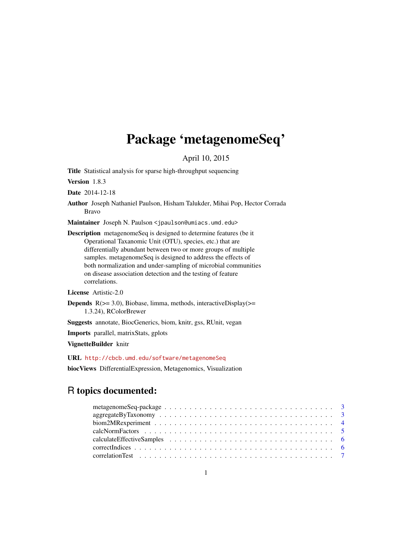# Package 'metagenomeSeq'

April 10, 2015

<span id="page-0-0"></span>Title Statistical analysis for sparse high-throughput sequencing

Version 1.8.3

Date 2014-12-18

Author Joseph Nathaniel Paulson, Hisham Talukder, Mihai Pop, Hector Corrada Bravo

Maintainer Joseph N. Paulson <jpaulson@umiacs.umd.edu>

Description metagenomeSeq is designed to determine features (be it Operational Taxanomic Unit (OTU), species, etc.) that are differentially abundant between two or more groups of multiple samples. metagenomeSeq is designed to address the effects of both normalization and under-sampling of microbial communities on disease association detection and the testing of feature correlations.

License Artistic-2.0

**Depends**  $R$ ( $>=$  3.0), Biobase, limma, methods, interactiveDisplay( $>=$ 1.3.24), RColorBrewer

Suggests annotate, BiocGenerics, biom, knitr, gss, RUnit, vegan

Imports parallel, matrixStats, gplots

VignetteBuilder knitr

URL <http://cbcb.umd.edu/software/metagenomeSeq>

biocViews DifferentialExpression, Metagenomics, Visualization

# R topics documented:

| metagenomeSeq-package $\ldots \ldots \ldots \ldots \ldots \ldots \ldots \ldots \ldots \ldots \ldots \ldots$ |  |  |  |  |  |  |  |  |  |  |  |  |  |  |  |  |  |
|-------------------------------------------------------------------------------------------------------------|--|--|--|--|--|--|--|--|--|--|--|--|--|--|--|--|--|
| $aggregateBy Taxonomy \ldots \ldots \ldots \ldots \ldots \ldots \ldots \ldots \ldots \ldots \ldots 3$       |  |  |  |  |  |  |  |  |  |  |  |  |  |  |  |  |  |
|                                                                                                             |  |  |  |  |  |  |  |  |  |  |  |  |  |  |  |  |  |
|                                                                                                             |  |  |  |  |  |  |  |  |  |  |  |  |  |  |  |  |  |
|                                                                                                             |  |  |  |  |  |  |  |  |  |  |  |  |  |  |  |  |  |
|                                                                                                             |  |  |  |  |  |  |  |  |  |  |  |  |  |  |  |  |  |
|                                                                                                             |  |  |  |  |  |  |  |  |  |  |  |  |  |  |  |  |  |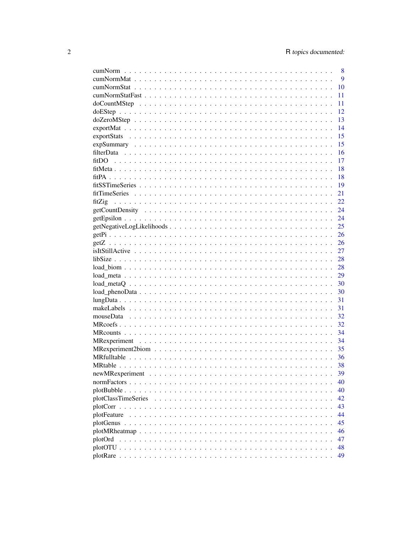|        | 8           |
|--------|-------------|
|        | $\mathbf Q$ |
|        | 10          |
|        | 11          |
|        | 11          |
|        | 12          |
|        | 13          |
|        | 14          |
|        | 15          |
|        | 15          |
|        | 16          |
|        | 17          |
|        | 18          |
|        | 18          |
|        | 19          |
|        |             |
|        | 21          |
| fitZig | 22          |
|        | 24          |
|        | 24          |
|        | 25          |
|        | 26          |
|        |             |
|        |             |
|        |             |
|        |             |
|        |             |
|        |             |
|        |             |
|        |             |
|        |             |
|        | 32          |
|        |             |
|        |             |
|        | - 34        |
|        | 35          |
|        | -36         |
|        |             |
|        | 39          |
|        | 40          |
|        | 40          |
|        |             |
|        | 42          |
|        | 43          |
|        | 44          |
|        | 45          |
|        | 46          |
|        | 47          |
|        | 48          |
|        | 49          |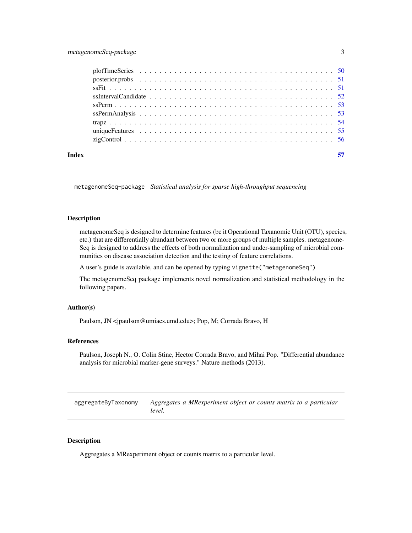<span id="page-2-0"></span>

| Index |  |
|-------|--|

metagenomeSeq-package *Statistical analysis for sparse high-throughput sequencing*

# Description

metagenomeSeq is designed to determine features (be it Operational Taxanomic Unit (OTU), species, etc.) that are differentially abundant between two or more groups of multiple samples. metagenome-Seq is designed to address the effects of both normalization and under-sampling of microbial communities on disease association detection and the testing of feature correlations.

A user's guide is available, and can be opened by typing vignette("metagenomeSeq")

The metagenomeSeq package implements novel normalization and statistical methodology in the following papers.

# Author(s)

Paulson, JN <jpaulson@umiacs.umd.edu>; Pop, M; Corrada Bravo, H

#### References

Paulson, Joseph N., O. Colin Stine, Hector Corrada Bravo, and Mihai Pop. "Differential abundance analysis for microbial marker-gene surveys." Nature methods (2013).

aggregateByTaxonomy *Aggregates a MRexperiment object or counts matrix to a particular level.*

# Description

Aggregates a MRexperiment object or counts matrix to a particular level.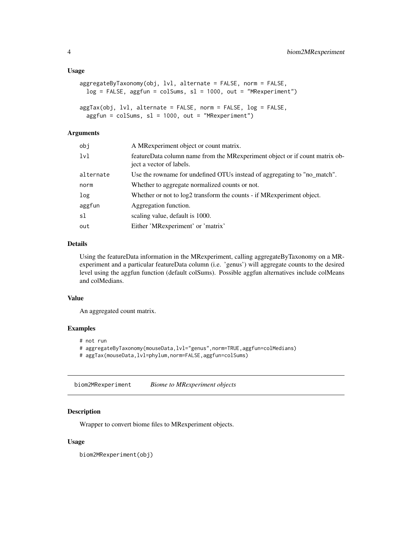#### <span id="page-3-0"></span>Usage

```
aggregateByTaxonomy(obj, lvl, alternate = FALSE, norm = FALSE,
 log = FALSE, aggfun = colSums, sl = 1000, out = "MRexperiment")
aggTax(obj, lvl, alternate = FALSE, norm = FALSE, log = FALSE,
  aggfun = colSums, sl = 1000, out = "MRexperiment")
```
# Arguments

| obj       | A MRexperiment object or count matrix.                                                                   |
|-----------|----------------------------------------------------------------------------------------------------------|
| lvl       | featureData column name from the MR experiment object or if count matrix ob-<br>ject a vector of labels. |
| alternate | Use the rowname for undefined OTUs instead of aggregating to "no_match".                                 |
| norm      | Whether to aggregate normalized counts or not.                                                           |
| log       | Whether or not to log2 transform the counts - if MR experiment object.                                   |
| aggfun    | Aggregation function.                                                                                    |
| sl        | scaling value, default is 1000.                                                                          |
| out       | Either 'MRexperiment' or 'matrix'                                                                        |

# Details

Using the featureData information in the MRexperiment, calling aggregateByTaxonomy on a MRexperiment and a particular featureData column (i.e. 'genus') will aggregate counts to the desired level using the aggfun function (default colSums). Possible aggfun alternatives include colMeans and colMedians.

#### Value

An aggregated count matrix.

#### Examples

- # not run
- # aggregateByTaxonomy(mouseData,lvl="genus",norm=TRUE,aggfun=colMedians)
- # aggTax(mouseData,lvl=phylum,norm=FALSE,aggfun=colSums)

<span id="page-3-1"></span>biom2MRexperiment *Biome to MRexperiment objects*

#### Description

Wrapper to convert biome files to MRexperiment objects.

#### Usage

biom2MRexperiment(obj)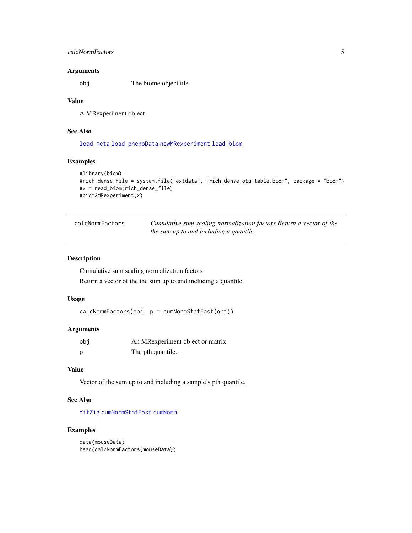# <span id="page-4-0"></span>calcNormFactors 5

# Arguments

obj The biome object file.

# Value

A MRexperiment object.

# See Also

[load\\_meta](#page-28-1) [load\\_phenoData](#page-29-1) [newMRexperiment](#page-38-1) [load\\_biom](#page-27-1)

# Examples

```
#library(biom)
#rich_dense_file = system.file("extdata", "rich_dense_otu_table.biom", package = "biom")
#x = read_biom(rich_dense_file)
#biom2MRexperiment(x)
```

| calcNormFactors | Cumulative sum scaling normalization factors Return a vector of the |
|-----------------|---------------------------------------------------------------------|
|                 | the sum up to and including a quantile.                             |

# Description

Cumulative sum scaling normalization factors

Return a vector of the the sum up to and including a quantile.

#### Usage

calcNormFactors(obj, p = cumNormStatFast(obj))

# Arguments

| obi | An MRexperiment object or matrix. |
|-----|-----------------------------------|
|     | The pth quantile.                 |

# Value

Vector of the sum up to and including a sample's pth quantile.

# See Also

[fitZig](#page-21-1) [cumNormStatFast](#page-10-1) [cumNorm](#page-7-1)

```
data(mouseData)
head(calcNormFactors(mouseData))
```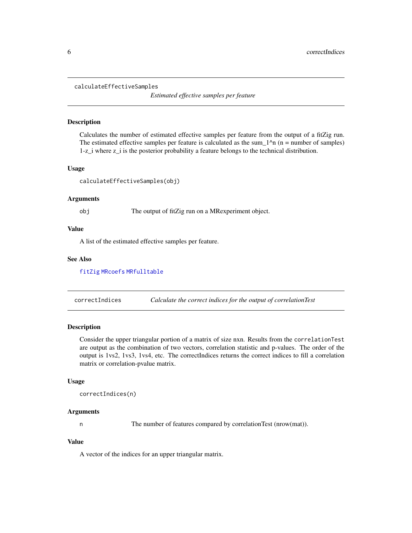#### <span id="page-5-0"></span>calculateEffectiveSamples

*Estimated effective samples per feature*

# Description

Calculates the number of estimated effective samples per feature from the output of a fitZig run. The estimated effective samples per feature is calculated as the sum\_ $1<sup>2</sup>$ n (n = number of samples) 1-z\_i where z\_i is the posterior probability a feature belongs to the technical distribution.

#### Usage

calculateEffectiveSamples(obj)

#### Arguments

#### obj The output of fitZig run on a MRexperiment object.

#### Value

A list of the estimated effective samples per feature.

#### See Also

[fitZig](#page-21-1) [MRcoefs](#page-31-1) [MRfulltable](#page-35-1)

<span id="page-5-1"></span>correctIndices *Calculate the correct indices for the output of correlationTest*

#### Description

Consider the upper triangular portion of a matrix of size nxn. Results from the correlationTest are output as the combination of two vectors, correlation statistic and p-values. The order of the output is 1vs2, 1vs3, 1vs4, etc. The correctIndices returns the correct indices to fill a correlation matrix or correlation-pvalue matrix.

#### Usage

```
correctIndices(n)
```
#### Arguments

n The number of features compared by correlationTest (nrow(mat)).

# Value

A vector of the indices for an upper triangular matrix.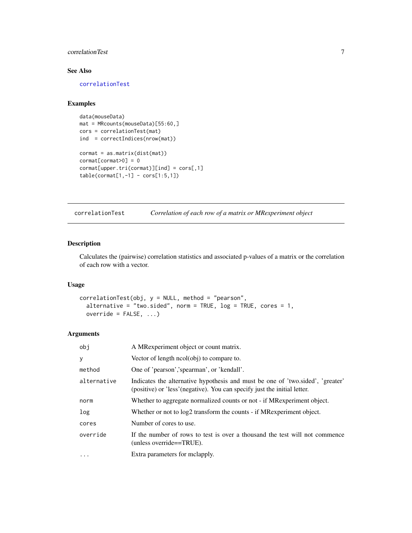# <span id="page-6-0"></span>correlationTest 7

# See Also

[correlationTest](#page-6-1)

# Examples

```
data(mouseData)
mat = MRcounts(mouseData)[55:60,]
cors = correlationTest(mat)
ind = correctIndices(nrow(mat))
cormat = as.matrix(dist(mat))
cormat[commat>0] = 0cormat[upper.tri(cormat)][ind] = cors[,1]
table(cormat[1,-1] - cors[1:5,1])
```
<span id="page-6-1"></span>

correlationTest *Correlation of each row of a matrix or MRexperiment object*

# Description

Calculates the (pairwise) correlation statistics and associated p-values of a matrix or the correlation of each row with a vector.

# Usage

```
correlationTest(obj, y = NULL, method = "pearson",
  alternative = "two.sided", norm = TRUE, log = TRUE, cores = 1,
 override = FALSE, ...
```
# Arguments

| obj         | A MRexperiment object or count matrix.                                                                                                                      |
|-------------|-------------------------------------------------------------------------------------------------------------------------------------------------------------|
| y           | Vector of length ncol(obj) to compare to.                                                                                                                   |
| method      | One of 'pearson', 'spearman', or 'kendall'.                                                                                                                 |
| alternative | Indicates the alternative hypothesis and must be one of 'two.sided', 'greater'<br>(positive) or 'less' (negative). You can specify just the initial letter. |
| norm        | Whether to aggregate normalized counts or not - if MR experiment object.                                                                                    |
| log         | Whether or not to log2 transform the counts - if MRexperiment object.                                                                                       |
| cores       | Number of cores to use.                                                                                                                                     |
| override    | If the number of rows to test is over a thousand the test will not commence<br>(unless override==TRUE).                                                     |
| $\cdots$    | Extra parameters for melapply.                                                                                                                              |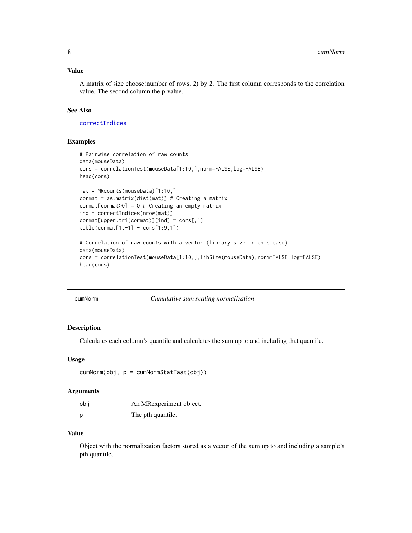# <span id="page-7-0"></span>Value

A matrix of size choose(number of rows, 2) by 2. The first column corresponds to the correlation value. The second column the p-value.

# See Also

[correctIndices](#page-5-1)

#### Examples

```
# Pairwise correlation of raw counts
data(mouseData)
cors = correlationTest(mouseData[1:10,],norm=FALSE,log=FALSE)
head(cors)
mat = MRcounts(mouseData)[1:10,]
cormat = as_matrix(dist(mat)) # Creating a matrixcormat[cormat>0] = 0 # Creating an empty matrix
ind = correctIndices(nrow(mat))
cormat[upper.tri(cormat)][ind] = cors[,1]
table(cormat[1,-1] - cors[1:9,1])# Correlation of raw counts with a vector (library size in this case)
data(mouseData)
cors = correlationTest(mouseData[1:10,],libSize(mouseData),norm=FALSE,log=FALSE)
head(cors)
```
<span id="page-7-1"></span>cumNorm *Cumulative sum scaling normalization*

#### Description

Calculates each column's quantile and calculates the sum up to and including that quantile.

### Usage

```
cumNorm(obj, p = cumNormStatFast(obj))
```
#### Arguments

| obi | An MRexperiment object. |
|-----|-------------------------|
| p   | The pth quantile.       |

# Value

Object with the normalization factors stored as a vector of the sum up to and including a sample's pth quantile.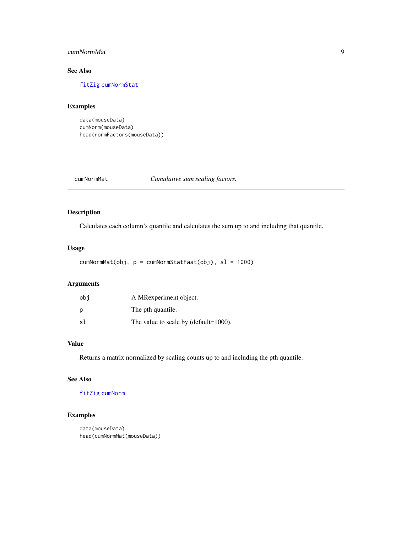# <span id="page-8-0"></span>cumNormMat 9

# See Also

[fitZig](#page-21-1) [cumNormStat](#page-9-1)

#### Examples

```
data(mouseData)
cumNorm(mouseData)
head(normFactors(mouseData))
```
<span id="page-8-1"></span>cumNormMat *Cumulative sum scaling factors.*

# Description

Calculates each column's quantile and calculates the sum up to and including that quantile.

# Usage

cumNormMat(obj, p = cumNormStatFast(obj), sl = 1000)

# Arguments

| obi | A MRexperiment object.                |
|-----|---------------------------------------|
| Ŋ   | The pth quantile.                     |
| sl  | The value to scale by (default=1000). |

# Value

Returns a matrix normalized by scaling counts up to and including the pth quantile.

# See Also

# [fitZig](#page-21-1) [cumNorm](#page-7-1)

```
data(mouseData)
head(cumNormMat(mouseData))
```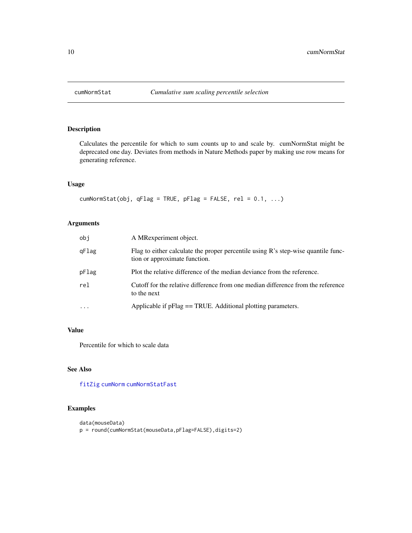<span id="page-9-1"></span><span id="page-9-0"></span>

Calculates the percentile for which to sum counts up to and scale by. cumNormStat might be deprecated one day. Deviates from methods in Nature Methods paper by making use row means for generating reference.

# Usage

```
cumNormStat(obj, qFlag = TRUE, pFlag = FALSE, rel = 0.1, ...)
```
# Arguments

| obj      | A MRexperiment object.                                                                                             |
|----------|--------------------------------------------------------------------------------------------------------------------|
| qFlag    | Flag to either calculate the proper percentile using R's step-wise quantile func-<br>tion or approximate function. |
| pFlag    | Plot the relative difference of the median deviance from the reference.                                            |
| rel      | Cutoff for the relative difference from one median difference from the reference<br>to the next                    |
| $\cdots$ | Applicable if pFlag == TRUE. Additional plotting parameters.                                                       |

# Value

Percentile for which to scale data

# See Also

[fitZig](#page-21-1) [cumNorm](#page-7-1) [cumNormStatFast](#page-10-1)

```
data(mouseData)
p = round(cumNormStat(mouseData,pFlag=FALSE),digits=2)
```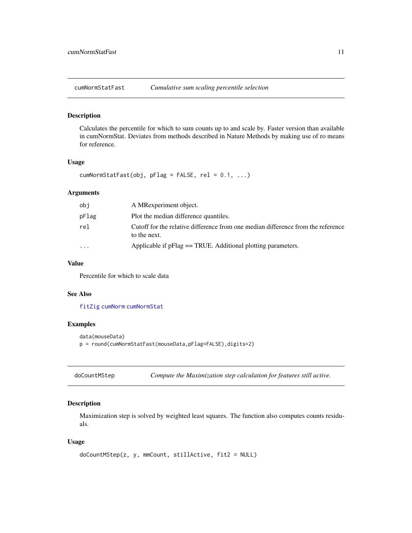<span id="page-10-1"></span><span id="page-10-0"></span>

Calculates the percentile for which to sum counts up to and scale by. Faster version than available in cumNormStat. Deviates from methods described in Nature Methods by making use of ro means for reference.

#### Usage

 $cumNormStatFast(obj, pFlag = FALSE, rel = 0.1, ...)$ 

# Arguments

| obj      | A MRexperiment object.                                                                           |
|----------|--------------------------------------------------------------------------------------------------|
| pFlag    | Plot the median difference quantiles.                                                            |
| rel      | Cutoff for the relative difference from one median difference from the reference<br>to the next. |
| $\cdots$ | Applicable if pFlag = TRUE. Additional plotting parameters.                                      |

# Value

Percentile for which to scale data

#### See Also

[fitZig](#page-21-1) [cumNorm](#page-7-1) [cumNormStat](#page-9-1)

#### Examples

```
data(mouseData)
p = round(cumNormStatFast(mouseData,pFlag=FALSE),digits=2)
```
doCountMStep *Compute the Maximization step calculation for features still active.*

# Description

Maximization step is solved by weighted least squares. The function also computes counts residuals.

#### Usage

```
doCountMStep(z, y, mmCount, stillActive, fit2 = NULL)
```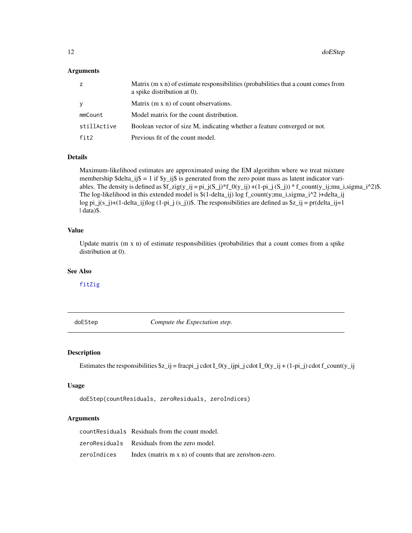#### <span id="page-11-0"></span>Arguments

| z           | Matrix $(m \times n)$ of estimate responsibilities (probabilities that a count comes from<br>a spike distribution at 0). |
|-------------|--------------------------------------------------------------------------------------------------------------------------|
| V           | Matrix (m x n) of count observations.                                                                                    |
| mmCount     | Model matrix for the count distribution.                                                                                 |
| stillActive | Boolean vector of size M, indicating whether a feature converged or not.                                                 |
| fit2        | Previous fit of the count model.                                                                                         |

# Details

Maximum-likelihood estimates are approximated using the EM algorithm where we treat mixture membership \$delta\_ij\$ = 1 if \$y\_ij\$ is generated from the zero point mass as latent indicator variables. The density is defined as  $f_zig(y_ij) = pi_j(S_j)*f_0(y_ij) + (1-pi_j(S_j)) * f_count(y_ij;mu_i,sigma_1^2)$ . The log-likelihood in this extended model is \$(1-delta\_ij) log f\_count(y;mu\_i,sigma\_i^2 )+delta\_ij log pi\_j(s\_j)+(1-delta\_ij)log (1-pi\_j (s\_j))\$. The responsibilities are defined as  $z_j = pr(delta_j) = 1$ | data)\$.

# Value

Update matrix (m x n) of estimate responsibilities (probabilities that a count comes from a spike distribution at 0).

# See Also

[fitZig](#page-21-1)

doEStep *Compute the Expectation step.*

# Description

Estimates the responsibilities  $z_{i} = \frac{z_{i} - z_{i}}{z_{i}}$  cdot  $I_0(y_{i} = y_{i} - z_{i})$  cdot  $I_0(y_{i} = y_{i} + (1 - pi_{i})$  cdot  $f_0(y_{i} = y_{i})$ 

# Usage

```
doEStep(countResiduals, zeroResiduals, zeroIndices)
```
# Arguments

|             | count Residuals Residuals from the count model.                |
|-------------|----------------------------------------------------------------|
|             | zeroResiduals Residuals from the zero model.                   |
| zeroIndices | Index (matrix $m \times n$ ) of counts that are zero/non-zero. |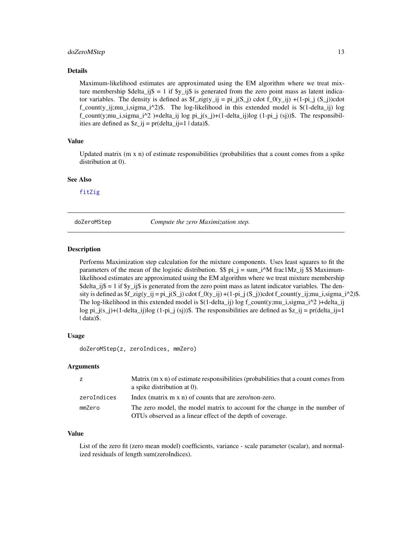#### <span id="page-12-0"></span>doZeroMStep 13

#### Details

Maximum-likelihood estimates are approximated using the EM algorithm where we treat mixture membership \$delta\_ij\$ = 1 if  $y_{ij}$  is generated from the zero point mass as latent indicator variables. The density is defined as  $f_zig(y_ij) = pi_j(S_i)$  cdot  $f_0(y_ij) + (1-pi_j (S_i))$ cdot  $f_{\text{count}}(y_i)$ i;mu\_i,sigma\_i^2)\$. The log-likelihood in this extended model is  $\S(1-\text{delta}_i)$  log  $f_{\text{count}}(y;mu_i,sigma_i^2)$ +delta\_ij log pi\_j(s\_j)+(1-delta\_ij)log (1-pi\_j (sj))\$. The responsibilities are defined as  $\zeta = pr(delta_i = 1 | data)$ .

# Value

Updated matrix (m x n) of estimate responsibilities (probabilities that a count comes from a spike distribution at 0).

#### See Also

[fitZig](#page-21-1)

doZeroMStep *Compute the zero Maximization step.*

#### **Description**

Performs Maximization step calculation for the mixture components. Uses least squares to fit the parameters of the mean of the logistic distribution.  $\$ \_{pi} = \sum\_{i=1}^{n} frac1Mz\_ij  $\$  Maximumlikelihood estimates are approximated using the EM algorithm where we treat mixture membership \$delta ij\$ = 1 if \$y ij\$ is generated from the zero point mass as latent indicator variables. The density is defined as  $f_2zig(y_ij = pi_j(S_i)$  cdot  $f_0(y_ij) + (1-p_i)(S_i)$  count(y\_ij;mu\_i,sigma\_i^2)\$. The log-likelihood in this extended model is  $$(1-delta_i])$  log f\_count(y;mu\_i,sigma\_i^2 )+delta\_ij log pi\_j(s\_j)+(1-delta\_ij)log (1-pi\_j (sj))\$. The responsibilities are defined as  $z_j = pr(delta_j)=1$ | data)\$.

#### Usage

doZeroMStep(z, zeroIndices, mmZero)

#### Arguments

| z           | Matrix $(m \times n)$ of estimate responsibilities (probabilities that a count comes from<br>a spike distribution at 0).                  |
|-------------|-------------------------------------------------------------------------------------------------------------------------------------------|
| zeroIndices | Index (matrix $m \times n$ ) of counts that are zero/non-zero.                                                                            |
| mmZero      | The zero model, the model matrix to account for the change in the number of<br>OTUs observed as a linear effect of the depth of coverage. |

### Value

List of the zero fit (zero mean model) coefficients, variance - scale parameter (scalar), and normalized residuals of length sum(zeroIndices).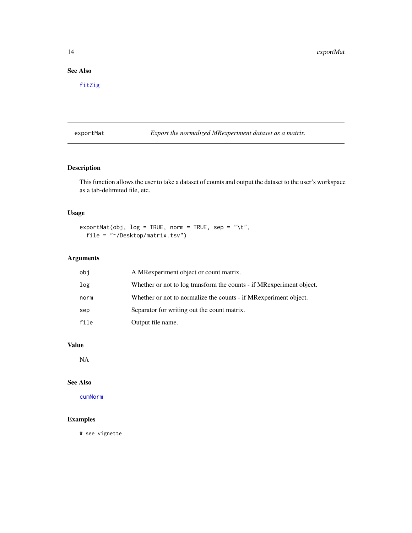# <span id="page-13-0"></span>See Also

[fitZig](#page-21-1)

exportMat *Export the normalized MRexperiment dataset as a matrix.*

# Description

This function allows the user to take a dataset of counts and output the dataset to the user's workspace as a tab-delimited file, etc.

# Usage

```
exportMat(obj, log = TRUE, norm = TRUE, sep = "\t",
  file = "~/Desktop/matrix.tsv")
```
# Arguments

| obi  | A MRexperiment object or count matrix.                                |
|------|-----------------------------------------------------------------------|
| log  | Whether or not to log transform the counts - if MR experiment object. |
| norm | Whether or not to normalize the counts - if MR experiment object.     |
| sep  | Separator for writing out the count matrix.                           |
| file | Output file name.                                                     |

# Value

NA

# See Also

[cumNorm](#page-7-1)

# Examples

# see vignette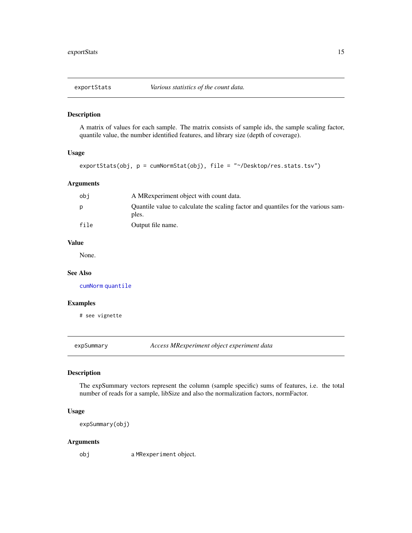<span id="page-14-0"></span>

A matrix of values for each sample. The matrix consists of sample ids, the sample scaling factor, quantile value, the number identified features, and library size (depth of coverage).

#### Usage

```
exportStats(obj, p = cumNormStat(obj), file = "~/Desktop/res.stats.tsv")
```
# Arguments

| obi  | A MRexperiment object with count data.                                                     |
|------|--------------------------------------------------------------------------------------------|
| D    | Quantile value to calculate the scaling factor and quantiles for the various sam-<br>ples. |
| file | Output file name.                                                                          |

### Value

None.

#### See Also

[cumNorm](#page-7-1) [quantile](#page-0-0)

# Examples

# see vignette

expSummary *Access MRexperiment object experiment data*

#### Description

The expSummary vectors represent the column (sample specific) sums of features, i.e. the total number of reads for a sample, libSize and also the normalization factors, normFactor.

# Usage

expSummary(obj)

#### Arguments

obj a MRexperiment object.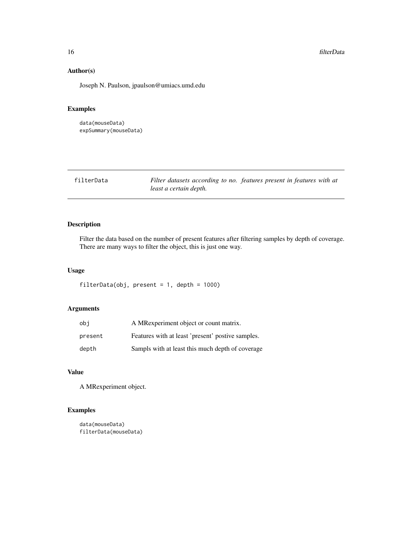# Author(s)

Joseph N. Paulson, jpaulson@umiacs.umd.edu

# Examples

```
data(mouseData)
expSummary(mouseData)
```

| filterData |  |
|------------|--|
|------------|--|

Filter datasets according to no. features present in features with at *least a certain depth.*

# Description

Filter the data based on the number of present features after filtering samples by depth of coverage. There are many ways to filter the object, this is just one way.

# Usage

filterData(obj, present = 1, depth = 1000)

# Arguments

| obi     | A MRexperiment object or count matrix.            |
|---------|---------------------------------------------------|
| present | Features with at least 'present' postive samples. |
| depth   | Sampls with at least this much depth of coverage  |

# Value

A MRexperiment object.

```
data(mouseData)
filterData(mouseData)
```
<span id="page-15-0"></span>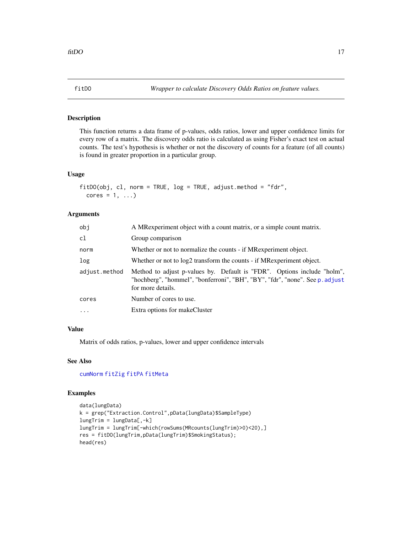<span id="page-16-1"></span><span id="page-16-0"></span>

This function returns a data frame of p-values, odds ratios, lower and upper confidence limits for every row of a matrix. The discovery odds ratio is calculated as using Fisher's exact test on actual counts. The test's hypothesis is whether or not the discovery of counts for a feature (of all counts) is found in greater proportion in a particular group.

#### Usage

```
fitDO(obj, cl, norm = TRUE, log = TRUE, adjust.method = "fdr",
  cores = 1, \ldots)
```
# Arguments

| obj           | A MRexperiment object with a count matrix, or a simple count matrix.                                                                                                         |
|---------------|------------------------------------------------------------------------------------------------------------------------------------------------------------------------------|
| cl            | Group comparison                                                                                                                                                             |
| norm          | Whether or not to normalize the counts - if MR experiment object.                                                                                                            |
| log           | Whether or not to log2 transform the counts - if MR experiment object.                                                                                                       |
| adjust.method | Method to adjust p-values by. Default is "FDR". Options include "holm",<br>"hochberg", "hommel", "bonferroni", "BH", "BY", "fdr", "none". See p. adjust<br>for more details. |
| cores         | Number of cores to use.                                                                                                                                                      |
| .             | Extra options for makeCluster                                                                                                                                                |
|               |                                                                                                                                                                              |

# Value

Matrix of odds ratios, p-values, lower and upper confidence intervals

# See Also

[cumNorm](#page-7-1) [fitZig](#page-21-1) [fitPA](#page-17-1) [fitMeta](#page-17-2)

```
data(lungData)
k = grep("Extraction.Control",pData(lungData)$SampleType)
lungTrim = lungData[,-k]
lungTrim = lungTrim[-which(rowSums(MRcounts(lungTrim)>0)<20),]
res = fitDO(lungTrim,pData(lungTrim)$SmokingStatus);
head(res)
```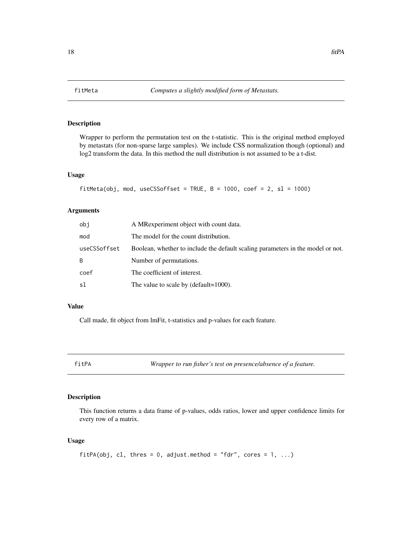Wrapper to perform the permutation test on the t-statistic. This is the original method employed by metastats (for non-sparse large samples). We include CSS normalization though (optional) and log2 transform the data. In this method the null distribution is not assumed to be a t-dist.

# Usage

```
fitMeta(obj, mod, useCSSoffset = TRUE, B = 1000, coef = 2, sl = 1000)
```
# Arguments

| obi          | A MRexperiment object with count data.                                          |
|--------------|---------------------------------------------------------------------------------|
| mod          | The model for the count distribution.                                           |
| useCSSoffset | Boolean, whether to include the default scaling parameters in the model or not. |
| B            | Number of permutations.                                                         |
| coef         | The coefficient of interest.                                                    |
| sl           | The value to scale by (default= $1000$ ).                                       |

# Value

Call made, fit object from lmFit, t-statistics and p-values for each feature.

<span id="page-17-1"></span>

fitPA *Wrapper to run fisher's test on presence/absence of a feature.*

# Description

This function returns a data frame of p-values, odds ratios, lower and upper confidence limits for every row of a matrix.

# Usage

```
fitPA(obj, cl, thres = 0, adjust.method = "fdr", cores = 1, ...)
```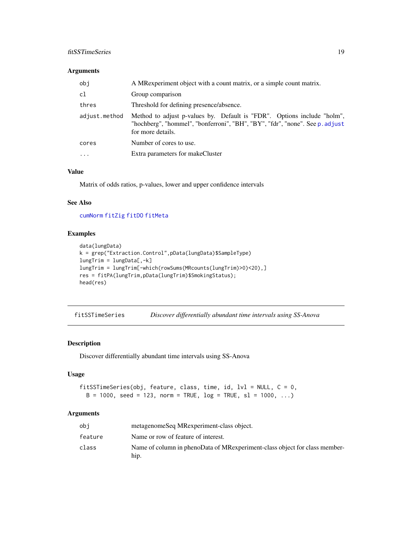# <span id="page-18-0"></span>fitSSTimeSeries 19

# Arguments

| obj           | A MR experiment object with a count matrix, or a simple count matrix.                                                                                                        |
|---------------|------------------------------------------------------------------------------------------------------------------------------------------------------------------------------|
| c1            | Group comparison                                                                                                                                                             |
| thres         | Threshold for defining presence/absence.                                                                                                                                     |
| adjust.method | Method to adjust p-values by. Default is "FDR". Options include "holm",<br>"hochberg", "hommel", "bonferroni", "BH", "BY", "fdr", "none". See p. adjust<br>for more details. |
| cores         | Number of cores to use.                                                                                                                                                      |
| $\cdots$      | Extra parameters for makeCluster                                                                                                                                             |

#### Value

Matrix of odds ratios, p-values, lower and upper confidence intervals

#### See Also

[cumNorm](#page-7-1) [fitZig](#page-21-1) [fitDO](#page-16-1) [fitMeta](#page-17-2)

# Examples

```
data(lungData)
k = grep("Extraction.Control",pData(lungData)$SampleType)
lungTrim = lungData[,-k]
lungTrim = lungTrim[-which(rowSums(MRcounts(lungTrim)>0)<20),]
res = fitPA(lungTrim,pData(lungTrim)$SmokingStatus);
head(res)
```
<span id="page-18-1"></span>fitSSTimeSeries *Discover differentially abundant time intervals using SS-Anova*

# Description

Discover differentially abundant time intervals using SS-Anova

#### Usage

```
fitSSTimeSeries(obj, feature, class, time, id, lvl = NULL, C = 0,
 B = 1000, seed = 123, norm = TRUE, log = TRUE, sl = 1000, ...)
```
#### Arguments

| obi     | metagenomeSeq MRexperiment-class object.                                           |
|---------|------------------------------------------------------------------------------------|
| feature | Name or row of feature of interest.                                                |
| class   | Name of column in phenoData of MRexperiment-class object for class member-<br>hip. |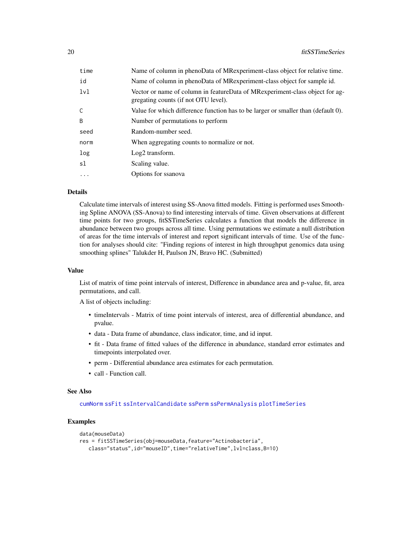| time       | Name of column in phenoData of MRexperiment-class object for relative time.                                          |
|------------|----------------------------------------------------------------------------------------------------------------------|
| id         | Name of column in phenoData of MRexperiment-class object for sample id.                                              |
| 1v1        | Vector or name of column in featureData of MRexperiment-class object for ag-<br>gregating counts (if not OTU level). |
| C          | Value for which difference function has to be larger or smaller than (default 0).                                    |
| B          | Number of permutations to perform                                                                                    |
| seed       | Random-number seed.                                                                                                  |
| norm       | When aggregating counts to normalize or not.                                                                         |
| log        | Log <sub>2</sub> transform.                                                                                          |
| sl         | Scaling value.                                                                                                       |
| $\ddots$ . | Options for ssanova                                                                                                  |

#### Details

Calculate time intervals of interest using SS-Anova fitted models. Fitting is performed uses Smoothing Spline ANOVA (SS-Anova) to find interesting intervals of time. Given observations at different time points for two groups, fitSSTimeSeries calculates a function that models the difference in abundance between two groups across all time. Using permutations we estimate a null distribution of areas for the time intervals of interest and report significant intervals of time. Use of the function for analyses should cite: "Finding regions of interest in high throughput genomics data using smoothing splines" Talukder H, Paulson JN, Bravo HC. (Submitted)

# Value

List of matrix of time point intervals of interest, Difference in abundance area and p-value, fit, area permutations, and call.

A list of objects including:

- timeIntervals Matrix of time point intervals of interest, area of differential abundance, and pvalue.
- data Data frame of abundance, class indicator, time, and id input.
- fit Data frame of fitted values of the difference in abundance, standard error estimates and timepoints interpolated over.
- perm Differential abundance area estimates for each permutation.
- call Function call.

#### See Also

[cumNorm](#page-7-1) [ssFit](#page-50-1) [ssIntervalCandidate](#page-51-1) [ssPerm](#page-52-1) [ssPermAnalysis](#page-52-2) [plotTimeSeries](#page-49-1)

```
data(mouseData)
res = fitSSTimeSeries(obj=mouseData,feature="Actinobacteria",
  class="status",id="mouseID",time="relativeTime",lvl=class,B=10)
```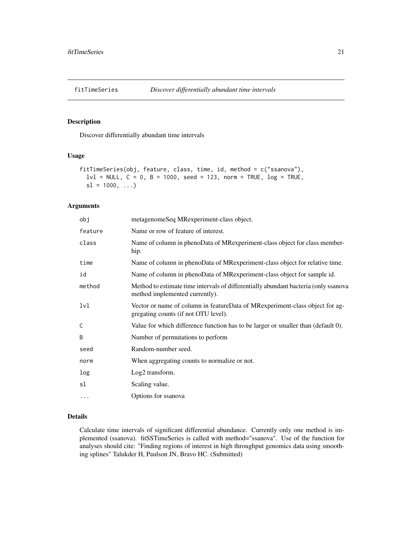<span id="page-20-1"></span><span id="page-20-0"></span>

Discover differentially abundant time intervals

#### Usage

```
fitTimeSeries(obj, feature, class, time, id, method = c("ssanova"),
  1v1 = NULL, C = 0, B = 1000, seed = 123, norm = TRUE, log = TRUE,
  sl = 1000, ...
```
#### Arguments

| obj      | metagenomeSeq MRexperiment-class object.                                                                              |
|----------|-----------------------------------------------------------------------------------------------------------------------|
| feature  | Name or row of feature of interest.                                                                                   |
| class    | Name of column in phenoData of MRexperiment-class object for class member-<br>hip.                                    |
| time     | Name of column in phenoData of MRexperiment-class object for relative time.                                           |
| id       | Name of column in phenoData of MRexperiment-class object for sample id.                                               |
| method   | Method to estimate time intervals of differentially abundant bacteria (only ssanova<br>method implemented currently). |
| lvl      | Vector or name of column in featureData of MRexperiment-class object for ag-<br>gregating counts (if not OTU level).  |
| Ċ        | Value for which difference function has to be larger or smaller than (default 0).                                     |
| B        | Number of permutations to perform                                                                                     |
| seed     | Random-number seed.                                                                                                   |
| norm     | When aggregating counts to normalize or not.                                                                          |
| log      | Log <sub>2</sub> transform.                                                                                           |
| sl       | Scaling value.                                                                                                        |
| $\cdots$ | Options for ssanova                                                                                                   |

#### Details

Calculate time intervals of significant differential abundance. Currently only one method is implemented (ssanova). fitSSTimeSeries is called with method="ssanova". Use of the function for analyses should cite: "Finding regions of interest in high throughput genomics data using smoothing splines" Talukder H, Paulson JN, Bravo HC. (Submitted)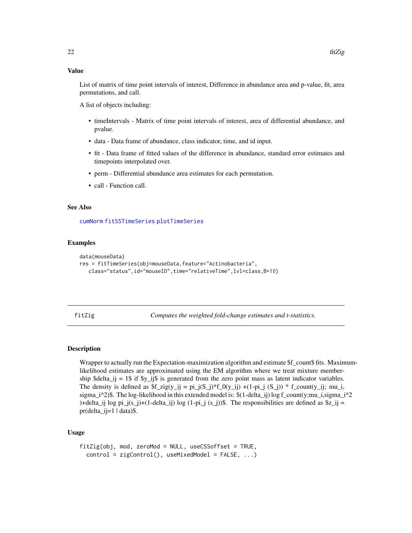#### <span id="page-21-0"></span>Value

List of matrix of time point intervals of interest, Difference in abundance area and p-value, fit, area permutations, and call.

A list of objects including:

- timeIntervals Matrix of time point intervals of interest, area of differential abundance, and pvalue.
- data Data frame of abundance, class indicator, time, and id input.
- fit Data frame of fitted values of the difference in abundance, standard error estimates and timepoints interpolated over.
- perm Differential abundance area estimates for each permutation.
- call Function call.

#### See Also

[cumNorm](#page-7-1) [fitSSTimeSeries](#page-18-1) [plotTimeSeries](#page-49-1)

#### Examples

```
data(mouseData)
res = fitTimeSeries(obj=mouseData,feature="Actinobacteria",
  class="status",id="mouseID",time="relativeTime",lvl=class,B=10)
```
<span id="page-21-1"></span>fitZig *Computes the weighted fold-change estimates and t-statistics.*

# **Description**

Wrapper to actually run the Expectation-maximization algorithm and estimate \$f\_count\$ fits. Maximumlikelihood estimates are approximated using the EM algorithm where we treat mixture membership \$delta\_ij = 1\$ if \$y\_ij\$ is generated from the zero point mass as latent indicator variables. The density is defined as  $f_2 \text{zig}(y_i = pi_j(S_i))^*f_0(y_i) + (1-pi_j (S_i))^* f_0(y_i)$ ; f\_count(y\_ij; mu\_i, sigma\_i^2)\$. The log-likelihood in this extended model is:  $$(1-\delta(1-\delta_1)\log f_{count}(y;mu_i,sigma_i)^2]$ )+delta\_ij log pi\_j(s\_j)+(1-delta\_ij) log (1-pi\_j (s\_j))\$. The responsibilities are defined as  $\overline{3z}$ \_ij =  $pr(delta_i]=1$  | data)\$.

# Usage

```
fitZig(obj, mod, zeroMod = NULL, useCSSoffset = TRUE,
  control = zigControl(), useMixedModel = FALSE, ...)
```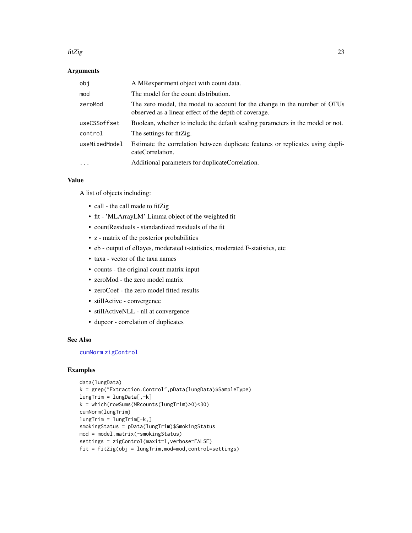#### fitZig 23

# Arguments

| obi           | A MRexperiment object with count data.                                                                                             |
|---------------|------------------------------------------------------------------------------------------------------------------------------------|
| mod           | The model for the count distribution.                                                                                              |
| zeroMod       | The zero model, the model to account for the change in the number of OTUs<br>observed as a linear effect of the depth of coverage. |
| useCSSoffset  | Boolean, whether to include the default scaling parameters in the model or not.                                                    |
| control       | The settings for fitZig.                                                                                                           |
| useMixedModel | Estimate the correlation between duplicate features or replicates using dupli-<br>cateCorrelation.                                 |
| $\ddotsc$     | Additional parameters for duplicateCorrelation.                                                                                    |

#### Value

A list of objects including:

- call the call made to fitZig
- fit 'MLArrayLM' Limma object of the weighted fit
- countResiduals standardized residuals of the fit
- z matrix of the posterior probabilities
- eb output of eBayes, moderated t-statistics, moderated F-statistics, etc
- taxa vector of the taxa names
- counts the original count matrix input
- zeroMod the zero model matrix
- zeroCoef the zero model fitted results
- stillActive convergence
- stillActiveNLL nll at convergence
- dupcor correlation of duplicates

# See Also

# [cumNorm](#page-7-1) [zigControl](#page-55-1)

```
data(lungData)
k = grep("Extraction.Control",pData(lungData)$SampleType)
lungTrim = lungData[, -k]k = which(rowSums(MRcounts(lungTrim)>0)<30)
cumNorm(lungTrim)
lungTrim = lungTrim[-k, ]smokingStatus = pData(lungTrim)$SmokingStatus
mod = model.matrix(~smokingStatus)
settings = zigControl(maxit=1,verbose=FALSE)
fit = fitZig(obj = lungTrim,mod=mod,control=settings)
```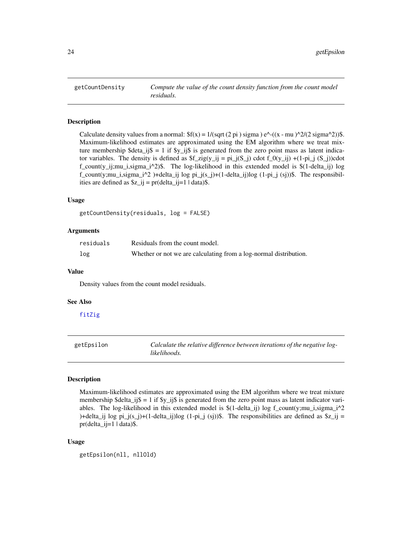<span id="page-23-0"></span>

Calculate density values from a normal:  $f(x) = 1/(sqrt(2 pi) \sigma^2) e^{-((x - mu)^2/2 \sigma^2)}$ . Maximum-likelihood estimates are approximated using the EM algorithm where we treat mixture membership \$deta\_ij\$ = 1 if  $y$ \_ij\$ is generated from the zero point mass as latent indicator variables. The density is defined as  $f_zig(y_ij = pi_j(S_j)$  cdot  $f_0(y_ij) + (1-pi_j (S_j))$ cdot  $f_{\text{count}}(y_i)$ i;mu\_i,sigma\_i^2)\$. The log-likelihood in this extended model is  $\S(1-\text{delta}_i)$  log  $f_{\text{count}}(y;mu_i,sigma_i^2)$ +delta\_ij log pi\_j(s\_j)+(1-delta\_ij)log (1-pi\_j (sj))\$. The responsibilities are defined as  $\zeta = pr(delta_i = 1 | data)$ .

#### Usage

```
getCountDensity(residuals, log = FALSE)
```
#### Arguments

| residuals | Residuals from the count model.                                   |
|-----------|-------------------------------------------------------------------|
| log       | Whether or not we are calculating from a log-normal distribution. |

#### Value

Density values from the count model residuals.

#### See Also

[fitZig](#page-21-1)

| getEpsilon | Calculate the relative difference between iterations of the negative log- |
|------------|---------------------------------------------------------------------------|
|            | likelihoods.                                                              |

#### Description

Maximum-likelihood estimates are approximated using the EM algorithm where we treat mixture membership  $\delta$ delta\_ij $\delta = 1$  if  $\gamma$ \_ij $\delta$  is generated from the zero point mass as latent indicator variables. The log-likelihood in this extended model is  $$(1-\delta(1-\delta_1)\log f_{count}(y;\mu_1,\sigma_1)]^2$ )+delta\_ij log pi\_j(s\_j)+(1-delta\_ij)log (1-pi\_j (sj))\$. The responsibilities are defined as  $\overline{\ }z$ \_ij =  $pr(delta_i)=1$  | data)\$.

#### Usage

getEpsilon(nll, nllOld)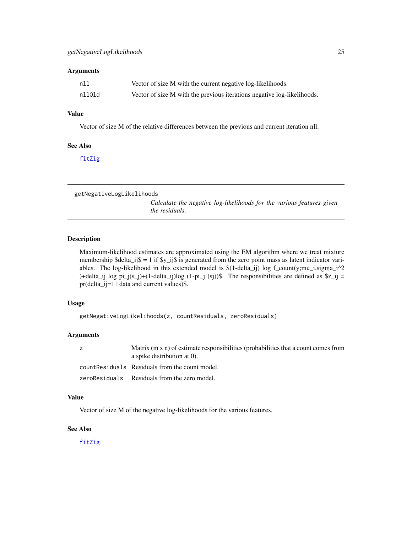#### <span id="page-24-0"></span>**Arguments**

| nll    | Vector of size M with the current negative log-likelihoods.             |
|--------|-------------------------------------------------------------------------|
| nllOld | Vector of size M with the previous iterations negative log-likelihoods. |

# Value

Vector of size M of the relative differences between the previous and current iteration nll.

#### See Also

[fitZig](#page-21-1)

getNegativeLogLikelihoods

*Calculate the negative log-likelihoods for the various features given the residuals.*

# Description

Maximum-likelihood estimates are approximated using the EM algorithm where we treat mixture membership \$delta\_ij\$ = 1 if \$y\_ij\$ is generated from the zero point mass as latent indicator variables. The log-likelihood in this extended model is  $$(1-\delta(1-\delta_1)\log f_{\text{count}})(y;\mu_1,\sigma_2)\sim 1$ )+delta\_ij log pi\_j(s\_j)+(1-delta\_ij)log (1-pi\_j (sj))\$. The responsibilities are defined as  $z_{ij}$  = pr(delta\_ij=1 | data and current values)\$.

# Usage

```
getNegativeLogLikelihoods(z, countResiduals, zeroResiduals)
```
#### Arguments

| Z | Matrix $(m \times n)$ of estimate responsibilities (probabilities that a count comes from<br>a spike distribution at $0$ ). |
|---|-----------------------------------------------------------------------------------------------------------------------------|
|   | count Residuals Residuals from the count model.                                                                             |
|   | zeroResiduals Residuals from the zero model.                                                                                |

#### Value

Vector of size M of the negative log-likelihoods for the various features.

# See Also

[fitZig](#page-21-1)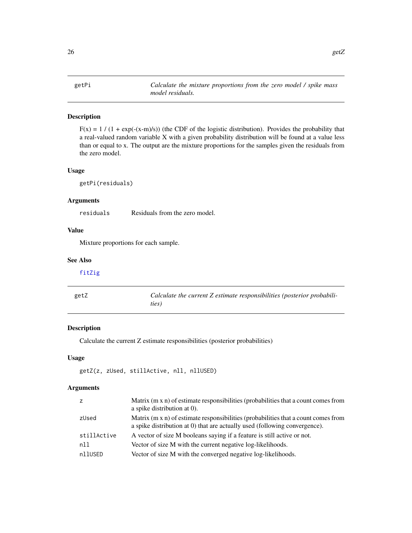<span id="page-25-0"></span>

 $F(x) = 1 / (1 + \exp(-(x-m)/s))$  (the CDF of the logistic distribution). Provides the probability that a real-valued random variable X with a given probability distribution will be found at a value less than or equal to x. The output are the mixture proportions for the samples given the residuals from the zero model.

# Usage

getPi(residuals)

# Arguments

residuals Residuals from the zero model.

# Value

Mixture proportions for each sample.

# See Also

```
fitZig
```

| getZ | Calculate the current Z estimate responsibilities (posterior probabili- |
|------|-------------------------------------------------------------------------|
|      | ties)                                                                   |

#### Description

Calculate the current Z estimate responsibilities (posterior probabilities)

#### Usage

```
getZ(z, zUsed, stillActive, nll, nllUSED)
```
# Arguments

| z           | Matrix (m x n) of estimate responsibilities (probabilities that a count comes from<br>a spike distribution at 0).                                                       |
|-------------|-------------------------------------------------------------------------------------------------------------------------------------------------------------------------|
| zUsed       | Matrix $(m \times n)$ of estimate responsibilities (probabilities that a count comes from<br>a spike distribution at 0) that are actually used (following convergence). |
| stillActive | A vector of size M booleans saying if a feature is still active or not.                                                                                                 |
| nll         | Vector of size M with the current negative log-likelihoods.                                                                                                             |
| nllUSED     | Vector of size M with the converged negative log-likelihoods.                                                                                                           |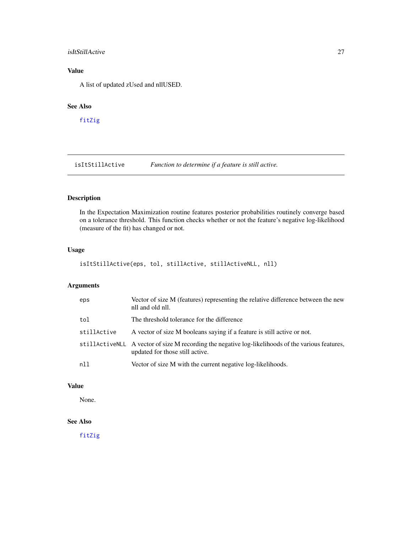# <span id="page-26-0"></span>isItStillActive 27

# Value

A list of updated zUsed and nllUSED.

#### See Also

[fitZig](#page-21-1)

isItStillActive *Function to determine if a feature is still active.*

# Description

In the Expectation Maximization routine features posterior probabilities routinely converge based on a tolerance threshold. This function checks whether or not the feature's negative log-likelihood (measure of the fit) has changed or not.

#### Usage

isItStillActive(eps, tol, stillActive, stillActiveNLL, nll)

# Arguments

| eps         | Vector of size M (features) representing the relative difference between the new<br>nll and old nll.                                  |
|-------------|---------------------------------------------------------------------------------------------------------------------------------------|
| tol         | The threshold tolerance for the difference                                                                                            |
| stillActive | A vector of size M booleans saying if a feature is still active or not.                                                               |
|             | still ActiveNLL A vector of size M recording the negative log-likelihoods of the various features,<br>updated for those still active. |
| n11         | Vector of size M with the current negative log-likelihoods.                                                                           |

# Value

None.

# See Also

[fitZig](#page-21-1)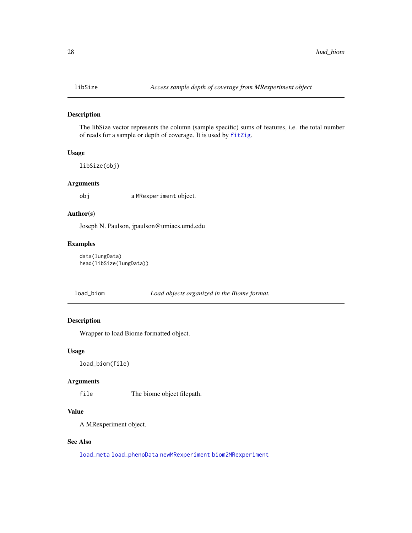<span id="page-27-2"></span><span id="page-27-0"></span>The libSize vector represents the column (sample specific) sums of features, i.e. the total number of reads for a sample or depth of coverage. It is used by [fitZig](#page-21-1).

#### Usage

libSize(obj)

# Arguments

obj a MRexperiment object.

# Author(s)

Joseph N. Paulson, jpaulson@umiacs.umd.edu

# Examples

```
data(lungData)
head(libSize(lungData))
```
#### <span id="page-27-1"></span>load\_biom *Load objects organized in the Biome format.*

# Description

Wrapper to load Biome formatted object.

### Usage

load\_biom(file)

#### Arguments

file The biome object filepath.

# Value

A MRexperiment object.

#### See Also

[load\\_meta](#page-28-1) [load\\_phenoData](#page-29-1) [newMRexperiment](#page-38-1) [biom2MRexperiment](#page-3-1)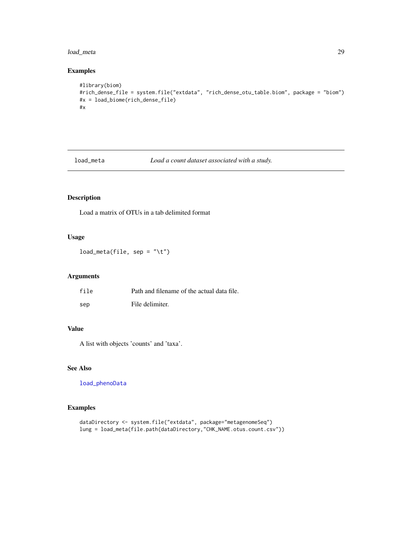# <span id="page-28-0"></span>load\_meta 29

# Examples

```
#library(biom)
#rich_dense_file = system.file("extdata", "rich_dense_otu_table.biom", package = "biom")
#x = load_biome(rich_dense_file)
#x
```
<span id="page-28-1"></span>

load\_meta *Load a count dataset associated with a study.*

# Description

Load a matrix of OTUs in a tab delimited format

# Usage

 $load\_meta(file, sep = " \t' \t'')$ 

# Arguments

| file | Path and filename of the actual data file. |
|------|--------------------------------------------|
| sep  | File delimiter.                            |

# Value

A list with objects 'counts' and 'taxa'.

# See Also

[load\\_phenoData](#page-29-1)

```
dataDirectory <- system.file("extdata", package="metagenomeSeq")
lung = load_meta(file.path(dataDirectory,"CHK_NAME.otus.count.csv"))
```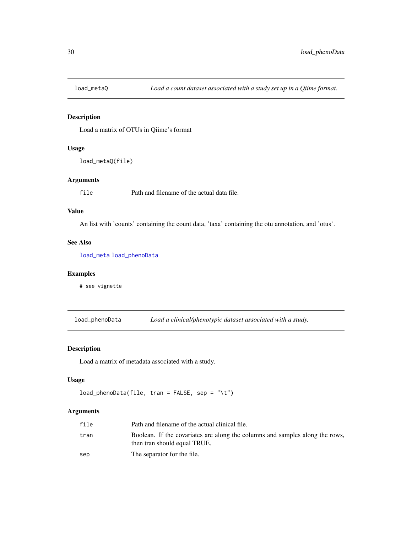<span id="page-29-0"></span>

Load a matrix of OTUs in Qiime's format

# Usage

```
load_metaQ(file)
```
# Arguments

file Path and filename of the actual data file.

#### Value

An list with 'counts' containing the count data, 'taxa' containing the otu annotation, and 'otus'.

# See Also

[load\\_meta](#page-28-1) [load\\_phenoData](#page-29-1)

# Examples

# see vignette

<span id="page-29-1"></span>load\_phenoData *Load a clinical/phenotypic dataset associated with a study.*

#### Description

Load a matrix of metadata associated with a study.

#### Usage

```
load_phenoData(file, tran = FALSE, sep = "\t")
```
# Arguments

| file | Path and filename of the actual clinical file.                                                               |
|------|--------------------------------------------------------------------------------------------------------------|
| tran | Boolean. If the covariates are along the columns and samples along the rows,<br>then tran should equal TRUE. |
| sep  | The separator for the file.                                                                                  |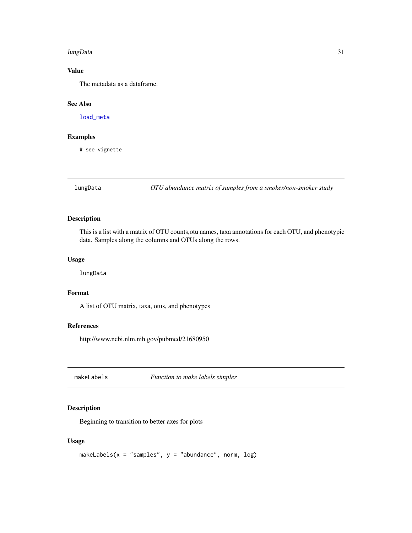#### <span id="page-30-0"></span>lungData 31

# Value

The metadata as a dataframe.

# See Also

[load\\_meta](#page-28-1)

# Examples

# see vignette

lungData *OTU abundance matrix of samples from a smoker/non-smoker study*

# Description

This is a list with a matrix of OTU counts,otu names, taxa annotations for each OTU, and phenotypic data. Samples along the columns and OTUs along the rows.

# Usage

lungData

# Format

A list of OTU matrix, taxa, otus, and phenotypes

# References

http://www.ncbi.nlm.nih.gov/pubmed/21680950

makeLabels *Function to make labels simpler*

#### Description

Beginning to transition to better axes for plots

# Usage

```
makeLabels(x = "samples", y = "abundance", norm, log)
```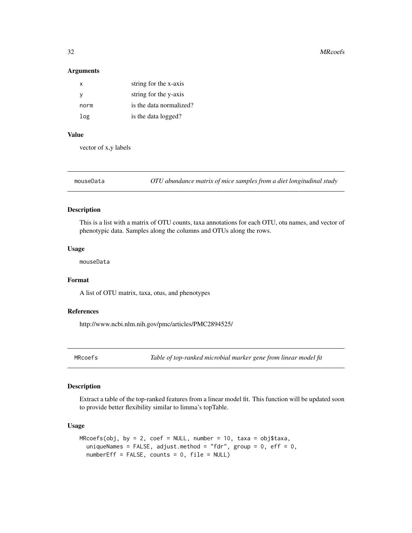#### Arguments

| x    | string for the x-axis   |
|------|-------------------------|
| v    | string for the y-axis   |
| norm | is the data normalized? |
| log  | is the data logged?     |

# Value

vector of x,y labels

mouseData *OTU abundance matrix of mice samples from a diet longitudinal study*

#### Description

This is a list with a matrix of OTU counts, taxa annotations for each OTU, otu names, and vector of phenotypic data. Samples along the columns and OTUs along the rows.

#### Usage

mouseData

#### Format

A list of OTU matrix, taxa, otus, and phenotypes

# References

http://www.ncbi.nlm.nih.gov/pmc/articles/PMC2894525/

<span id="page-31-1"></span>MRcoefs *Table of top-ranked microbial marker gene from linear model fit*

# Description

Extract a table of the top-ranked features from a linear model fit. This function will be updated soon to provide better flexibility similar to limma's topTable.

#### Usage

```
MRcoeffs(obj, by = 2, coeff = NULL, number = 10, taxa = obj$taxa,uniqueNames = FALSE, adjust.method = "fdr", group = 0, eff = 0,
  numberEff = FALSE, counts = 0, file = NULL)
```
<span id="page-31-0"></span>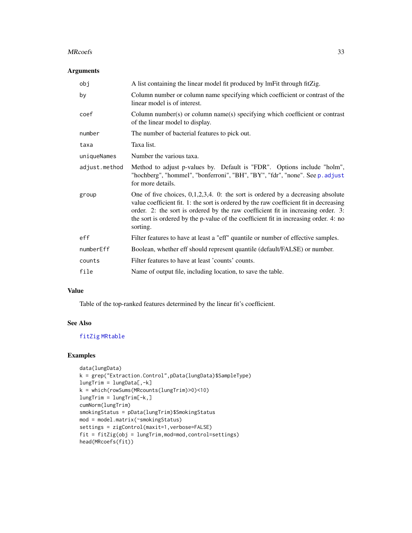#### MRcoefs 33

# Arguments

| obj           | A list containing the linear model fit produced by lmFit through fitZig.                                                                                                                                                                                                                                                                                             |
|---------------|----------------------------------------------------------------------------------------------------------------------------------------------------------------------------------------------------------------------------------------------------------------------------------------------------------------------------------------------------------------------|
| by            | Column number or column name specifying which coefficient or contrast of the<br>linear model is of interest.                                                                                                                                                                                                                                                         |
| coef          | Column number(s) or column name(s) specifying which coefficient or contrast<br>of the linear model to display.                                                                                                                                                                                                                                                       |
| number        | The number of bacterial features to pick out.                                                                                                                                                                                                                                                                                                                        |
| taxa          | Taxa list.                                                                                                                                                                                                                                                                                                                                                           |
| uniqueNames   | Number the various taxa.                                                                                                                                                                                                                                                                                                                                             |
| adjust.method | Method to adjust p-values by. Default is "FDR". Options include "holm",<br>"hochberg", "hommel", "bonferroni", "BH", "BY", "fdr", "none". See p. adjust<br>for more details.                                                                                                                                                                                         |
| group         | One of five choices, $0,1,2,3,4$ . 0: the sort is ordered by a decreasing absolute<br>value coefficient fit. 1: the sort is ordered by the raw coefficient fit in decreasing<br>order. 2: the sort is ordered by the raw coefficient fit in increasing order. 3:<br>the sort is ordered by the p-value of the coefficient fit in increasing order. 4: no<br>sorting. |
| eff           | Filter features to have at least a "eff" quantile or number of effective samples.                                                                                                                                                                                                                                                                                    |
| numberEff     | Boolean, whether eff should represent quantile (default/FALSE) or number.                                                                                                                                                                                                                                                                                            |
| counts        | Filter features to have at least 'counts' counts.                                                                                                                                                                                                                                                                                                                    |
| file          | Name of output file, including location, to save the table.                                                                                                                                                                                                                                                                                                          |

# Value

Table of the top-ranked features determined by the linear fit's coefficient.

# See Also

[fitZig](#page-21-1) [MRtable](#page-37-1)

```
data(lungData)
k = grep("Extraction.Control",pData(lungData)$SampleType)
lungTrim = lungData[, -k]k = which(rowSums(MRcounts(lungTrim)>0)<10)
lungTrim = lungTrim[-k,]
cumNorm(lungTrim)
smokingStatus = pData(lungTrim)$SmokingStatus
mod = model.matrix(~smokingStatus)
settings = zigControl(maxit=1, verbose=FALSE)
fit = fitZig(obj = lungTrim,mod=mod,control=settings)
head(MRcoefs(fit))
```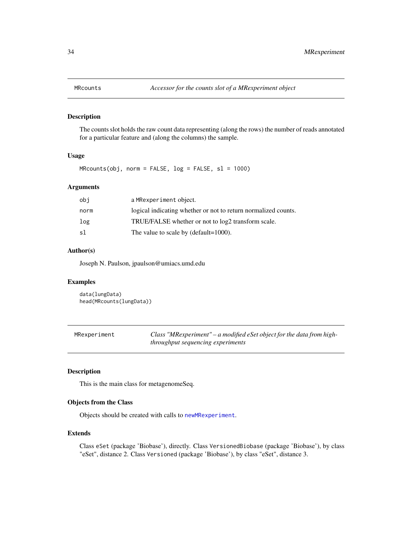<span id="page-33-1"></span><span id="page-33-0"></span>

The counts slot holds the raw count data representing (along the rows) the number of reads annotated for a particular feature and (along the columns) the sample.

# Usage

 $MRcounts(obj, norm = FALSE, log = FALSE, sl = 1000)$ 

# Arguments

| logical indicating whether or not to return normalized counts. |
|----------------------------------------------------------------|
| TRUE/FALSE whether or not to log2 transform scale.             |
|                                                                |
|                                                                |

### Author(s)

Joseph N. Paulson, jpaulson@umiacs.umd.edu

# Examples

```
data(lungData)
head(MRcounts(lungData))
```

| MRexperiment | Class "MRexperiment" – a modified eSet object for the data from high- |
|--------------|-----------------------------------------------------------------------|
|              | <i>throughput sequencing experiments</i>                              |

# <span id="page-33-2"></span>Description

This is the main class for metagenomeSeq.

# Objects from the Class

Objects should be created with calls to [newMRexperiment](#page-38-1).

#### Extends

Class eSet (package 'Biobase'), directly. Class VersionedBiobase (package 'Biobase'), by class "eSet", distance 2. Class Versioned (package 'Biobase'), by class "eSet", distance 3.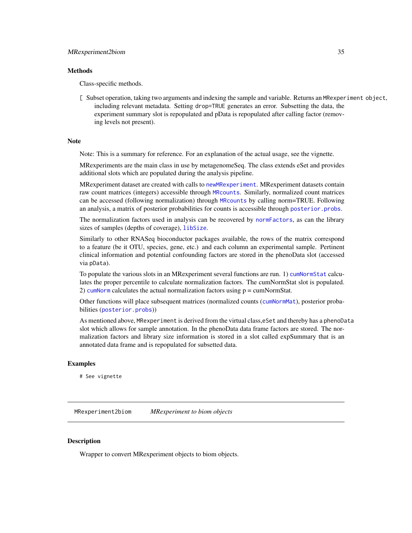#### <span id="page-34-0"></span>**Methods**

Class-specific methods.

[ Subset operation, taking two arguments and indexing the sample and variable. Returns an MRexperiment object, including relevant metadata. Setting drop=TRUE generates an error. Subsetting the data, the experiment summary slot is repopulated and pData is repopulated after calling factor (removing levels not present).

#### Note

Note: This is a summary for reference. For an explanation of the actual usage, see the vignette.

MRexperiments are the main class in use by metagenomeSeq. The class extends eSet and provides additional slots which are populated during the analysis pipeline.

MRexperiment dataset are created with calls to [newMRexperiment](#page-38-1). MRexperiment datasets contain raw count matrices (integers) accessible through [MRcounts](#page-33-1). Similarly, normalized count matrices can be accessed (following normalization) through [MRcounts](#page-33-1) by calling norm=TRUE. Following an analysis, a matrix of posterior probabilities for counts is accessible through [posterior.probs](#page-50-2).

The normalization factors used in analysis can be recovered by [normFactors](#page-39-1), as can the library sizes of samples (depths of coverage), [libSize](#page-27-2).

Similarly to other RNASeq bioconductor packages available, the rows of the matrix correspond to a feature (be it OTU, species, gene, etc.) and each column an experimental sample. Pertinent clinical information and potential confounding factors are stored in the phenoData slot (accessed via pData).

To populate the various slots in an MRexperiment several functions are run. 1) [cumNormStat](#page-9-1) calculates the proper percentile to calculate normalization factors. The cumNormStat slot is populated. 2) [cumNorm](#page-7-1) calculates the actual normalization factors using  $p = \text{cumNormStat.}$ 

Other functions will place subsequent matrices (normalized counts ([cumNormMat](#page-8-1)), posterior probabilities ([posterior.probs](#page-50-2)))

As mentioned above, MRexperiment is derived from the virtual class,eSet and thereby has a phenoData slot which allows for sample annotation. In the phenoData data frame factors are stored. The normalization factors and library size information is stored in a slot called expSummary that is an annotated data frame and is repopulated for subsetted data.

#### Examples

# See vignette

MRexperiment2biom *MRexperiment to biom objects*

#### Description

Wrapper to convert MRexperiment objects to biom objects.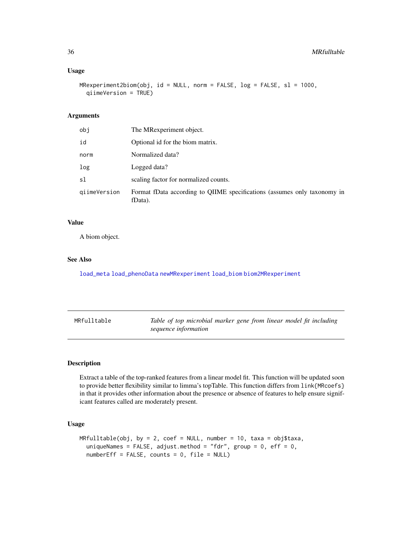# <span id="page-35-0"></span>Usage

```
MRexperiment2biom(obj, id = NULL, norm = FALSE, log = FALSE, sl = 1000,
  qiimeVersion = TRUE)
```
# Arguments

| obi          | The MRexperiment object.                                                            |
|--------------|-------------------------------------------------------------------------------------|
| id           | Optional id for the biom matrix.                                                    |
| norm         | Normalized data?                                                                    |
| log          | Logged data?                                                                        |
| sl           | scaling factor for normalized counts.                                               |
| qiimeVersion | Format fData according to QIIME specifications (assumes only taxonomy in<br>fData). |

# Value

A biom object.

### See Also

[load\\_meta](#page-28-1) [load\\_phenoData](#page-29-1) [newMRexperiment](#page-38-1) [load\\_biom](#page-27-1) [biom2MRexperiment](#page-3-1)

<span id="page-35-1"></span>

| MRfulltable | Table of top microbial marker gene from linear model fit including |
|-------------|--------------------------------------------------------------------|
|             | sequence information                                               |

# Description

Extract a table of the top-ranked features from a linear model fit. This function will be updated soon to provide better flexibility similar to limma's topTable. This function differs from link{MRcoefs} in that it provides other information about the presence or absence of features to help ensure significant features called are moderately present.

# Usage

```
MFulltable(obj, by = 2, coef = NULL, number = 10, taxa = obj$taxa,
  uniqueNames = FALSE, adjust.method = "fdr", group = 0, eff = 0,
  numberEff = FALSE, counts = 0, file = NULL)
```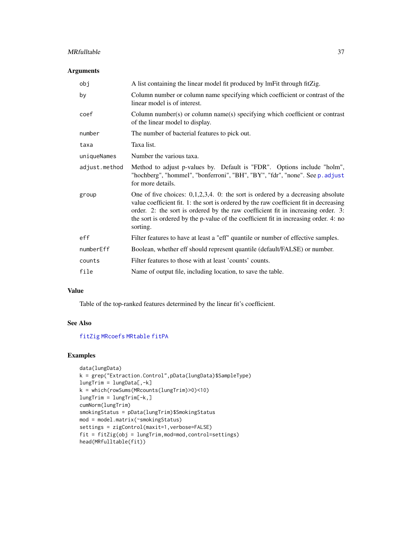#### MRfulltable 37

# Arguments

| obj           | A list containing the linear model fit produced by lmFit through fitZig.                                                                                                                                                                                                                                                                                             |
|---------------|----------------------------------------------------------------------------------------------------------------------------------------------------------------------------------------------------------------------------------------------------------------------------------------------------------------------------------------------------------------------|
| by            | Column number or column name specifying which coefficient or contrast of the<br>linear model is of interest.                                                                                                                                                                                                                                                         |
| coef          | Column number(s) or column name(s) specifying which coefficient or contrast<br>of the linear model to display.                                                                                                                                                                                                                                                       |
| number        | The number of bacterial features to pick out.                                                                                                                                                                                                                                                                                                                        |
| taxa          | Taxa list.                                                                                                                                                                                                                                                                                                                                                           |
| uniqueNames   | Number the various taxa.                                                                                                                                                                                                                                                                                                                                             |
| adjust.method | Method to adjust p-values by. Default is "FDR". Options include "holm",<br>"hochberg", "hommel", "bonferroni", "BH", "BY", "fdr", "none". See p. adjust<br>for more details.                                                                                                                                                                                         |
| group         | One of five choices: $0,1,2,3,4$ . 0: the sort is ordered by a decreasing absolute<br>value coefficient fit. 1: the sort is ordered by the raw coefficient fit in decreasing<br>order. 2: the sort is ordered by the raw coefficient fit in increasing order. 3:<br>the sort is ordered by the p-value of the coefficient fit in increasing order. 4: no<br>sorting. |
| eff           | Filter features to have at least a "eff" quantile or number of effective samples.                                                                                                                                                                                                                                                                                    |
| numberEff     | Boolean, whether eff should represent quantile (default/FALSE) or number.                                                                                                                                                                                                                                                                                            |
| counts        | Filter features to those with at least 'counts' counts.                                                                                                                                                                                                                                                                                                              |
| file          | Name of output file, including location, to save the table.                                                                                                                                                                                                                                                                                                          |

# Value

Table of the top-ranked features determined by the linear fit's coefficient.

#### See Also

[fitZig](#page-21-1) [MRcoefs](#page-31-1) [MRtable](#page-37-1) [fitPA](#page-17-1)

```
data(lungData)
k = grep("Extraction.Control",pData(lungData)$SampleType)
lungTrim = lungData[, -k]k = which(rowSums(MRcounts(lungTrim)>0)<10)
lungTrim = lungTrim[-k,]
cumNorm(lungTrim)
smokingStatus = pData(lungTrim)$SmokingStatus
mod = model.matrix(~smokingStatus)
settings = zigControl(maxit=1, verbose=FALSE)
fit = fitZig(obj = lungTrim,mod=mod,control=settings)
head(MRfulltable(fit))
```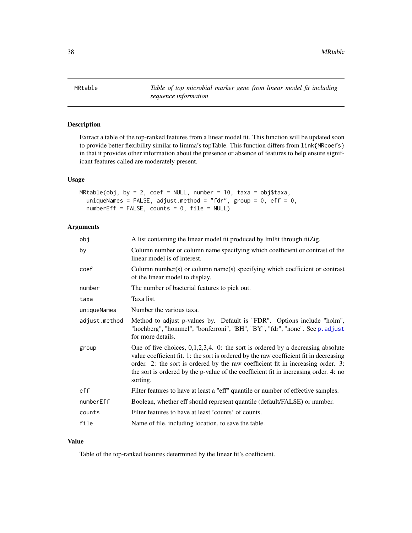<span id="page-37-0"></span>38 MRtable

<span id="page-37-1"></span>MRtable *Table of top microbial marker gene from linear model fit including sequence information*

# Description

Extract a table of the top-ranked features from a linear model fit. This function will be updated soon to provide better flexibility similar to limma's topTable. This function differs from link{MRcoefs} in that it provides other information about the presence or absence of features to help ensure significant features called are moderately present.

#### Usage

 $MRtable(obj, by = 2, coef = NULL, number = 10, taxa = obj$taxa,$ uniqueNames = FALSE, adjust.method = "fdr", group =  $0$ , eff =  $0$ ,  $numberEff = FALSE, counts = 0, file = NULL)$ 

# Arguments

| obj           | A list containing the linear model fit produced by lmFit through fitZig.                                                                                                                                                                                                                                                                                             |
|---------------|----------------------------------------------------------------------------------------------------------------------------------------------------------------------------------------------------------------------------------------------------------------------------------------------------------------------------------------------------------------------|
| by            | Column number or column name specifying which coefficient or contrast of the<br>linear model is of interest.                                                                                                                                                                                                                                                         |
| coef          | Column number(s) or column name(s) specifying which coefficient or contrast<br>of the linear model to display.                                                                                                                                                                                                                                                       |
| number        | The number of bacterial features to pick out.                                                                                                                                                                                                                                                                                                                        |
| taxa          | Taxa list.                                                                                                                                                                                                                                                                                                                                                           |
| uniqueNames   | Number the various taxa.                                                                                                                                                                                                                                                                                                                                             |
| adjust.method | Method to adjust p-values by. Default is "FDR". Options include "holm",<br>"hochberg", "hommel", "bonferroni", "BH", "BY", "fdr", "none". See p. adjust<br>for more details.                                                                                                                                                                                         |
| group         | One of five choices, $0,1,2,3,4$ . 0: the sort is ordered by a decreasing absolute<br>value coefficient fit. 1: the sort is ordered by the raw coefficient fit in decreasing<br>order. 2: the sort is ordered by the raw coefficient fit in increasing order. 3:<br>the sort is ordered by the p-value of the coefficient fit in increasing order. 4: no<br>sorting. |
| eff           | Filter features to have at least a "eff" quantile or number of effective samples.                                                                                                                                                                                                                                                                                    |
| numberEff     | Boolean, whether eff should represent quantile (default/FALSE) or number.                                                                                                                                                                                                                                                                                            |
| counts        | Filter features to have at least 'counts' of counts.                                                                                                                                                                                                                                                                                                                 |
| file          | Name of file, including location, to save the table.                                                                                                                                                                                                                                                                                                                 |

# Value

Table of the top-ranked features determined by the linear fit's coefficient.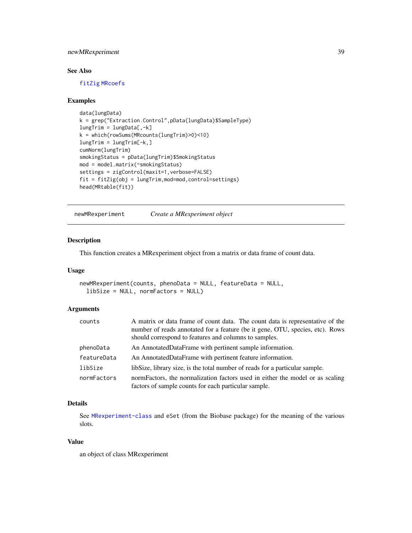# <span id="page-38-0"></span>newMRexperiment 39

# See Also

[fitZig](#page-21-1) [MRcoefs](#page-31-1)

#### Examples

```
data(lungData)
k = grep("Extraction.Control",pData(lungData)$SampleType)
lungTrim = lungData[, -k]k = which(rowSums(MRcounts(lungTrim)>0)<10)
lungTrim = lungTrim[-k,]
cumNorm(lungTrim)
smokingStatus = pData(lungTrim)$SmokingStatus
mod = model.matrix(~smokingStatus)
settings = zigControl(maxit=1, verbose=FALSE)
fit = fitZig(obj = lungTrim,mod=mod,control=settings)
head(MRtable(fit))
```
<span id="page-38-1"></span>newMRexperiment *Create a MRexperiment object*

# Description

This function creates a MRexperiment object from a matrix or data frame of count data.

# Usage

```
newMRexperiment(counts, phenoData = NULL, featureData = NULL,
  libSize = NULL, normFactors = NULL)
```
#### Arguments

| counts      | A matrix or data frame of count data. The count data is representative of the<br>number of reads annotated for a feature (be it gene, OTU, species, etc). Rows<br>should correspond to features and columns to samples. |
|-------------|-------------------------------------------------------------------------------------------------------------------------------------------------------------------------------------------------------------------------|
| phenoData   | An AnnotatedDataFrame with pertinent sample information.                                                                                                                                                                |
| featureData | An AnnotatedDataFrame with pertinent feature information.                                                                                                                                                               |
| libSize     | libSize, library size, is the total number of reads for a particular sample.                                                                                                                                            |
| normFactors | normFactors, the normalization factors used in either the model or as scaling<br>factors of sample counts for each particular sample.                                                                                   |

# Details

See [MRexperiment-class](#page-33-2) and eSet (from the Biobase package) for the meaning of the various slots.

#### Value

an object of class MRexperiment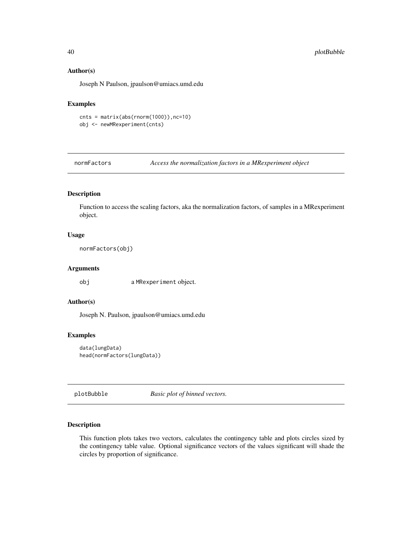#### <span id="page-39-0"></span>Author(s)

Joseph N Paulson, jpaulson@umiacs.umd.edu

# Examples

 $cnts = matrix(abs(rnorm(1000)),nc=10)$ obj <- newMRexperiment(cnts)

<span id="page-39-1"></span>normFactors *Access the normalization factors in a MRexperiment object*

# Description

Function to access the scaling factors, aka the normalization factors, of samples in a MRexperiment object.

#### Usage

normFactors(obj)

#### Arguments

obj a MRexperiment object.

#### Author(s)

Joseph N. Paulson, jpaulson@umiacs.umd.edu

#### Examples

```
data(lungData)
head(normFactors(lungData))
```
plotBubble *Basic plot of binned vectors.*

#### Description

This function plots takes two vectors, calculates the contingency table and plots circles sized by the contingency table value. Optional significance vectors of the values significant will shade the circles by proportion of significance.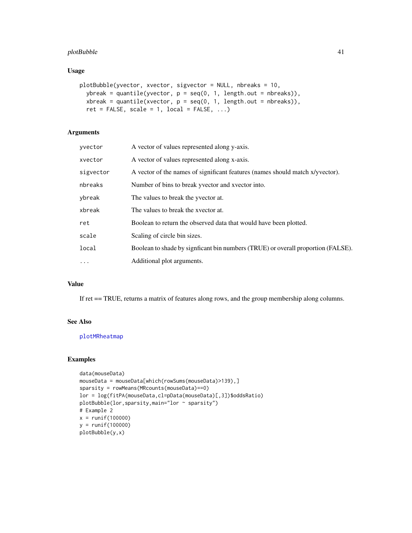# plotBubble 41

# Usage

```
plotBubble(yvector, xvector, sigvector = NULL, nbreaks = 10,
 ybreak = quantile(yvector, p = seq(0, 1, length.out = nbreaks)),
 xbreak = quantile(xvector, p = seq(0, 1, length.out = nbreaks)),ret = FALSE, scale = 1, local = FALSE, \ldots)
```
# Arguments

| yvector   | A vector of values represented along y-axis.                                     |
|-----------|----------------------------------------------------------------------------------|
| xvector   | A vector of values represented along x-axis.                                     |
| sigvector | A vector of the names of significant features (names should match x/yvector).    |
| nbreaks   | Number of bins to break yvector and xvector into.                                |
| vbreak    | The values to break the yvector at.                                              |
| xbreak    | The values to break the xvector at.                                              |
| ret       | Boolean to return the observed data that would have been plotted.                |
| scale     | Scaling of circle bin sizes.                                                     |
| local     | Boolean to shade by signficant bin numbers (TRUE) or overall proportion (FALSE). |
| $\cdots$  | Additional plot arguments.                                                       |

### Value

If ret == TRUE, returns a matrix of features along rows, and the group membership along columns.

#### See Also

[plotMRheatmap](#page-45-1)

```
data(mouseData)
mouseData = mouseData[which(rowSums(mouseData)>139),]
sparsity = rowMeans(MRcounts(mouseData)==0)
lor = log(fitPA(mouseData,cl=pData(mouseData)[,3])$oddsRatio)
plotBubble(lor,sparsity,main="lor ~ sparsity")
# Example 2
x = runif(100000)y = runif(100000)
plotBubble(y,x)
```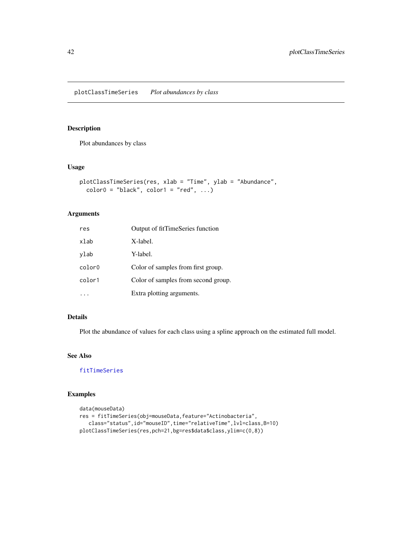<span id="page-41-0"></span>plotClassTimeSeries *Plot abundances by class*

# Description

Plot abundances by class

# Usage

```
plotClassTimeSeries(res, xlab = "Time", ylab = "Abundance",
 color0 = "black", color1 = "red", ...)
```
# Arguments

| res    | Output of fitTimeSeries function    |
|--------|-------------------------------------|
| xlab   | X-label.                            |
| ylab   | Y-label.                            |
| color0 | Color of samples from first group.  |
| color1 | Color of samples from second group. |
|        | Extra plotting arguments.           |

# Details

Plot the abundance of values for each class using a spline approach on the estimated full model.

#### See Also

[fitTimeSeries](#page-20-1)

```
data(mouseData)
res = fitTimeSeries(obj=mouseData,feature="Actinobacteria",
   class="status",id="mouseID",time="relativeTime",lvl=class,B=10)
plotClassTimeSeries(res,pch=21,bg=res$data$class,ylim=c(0,8))
```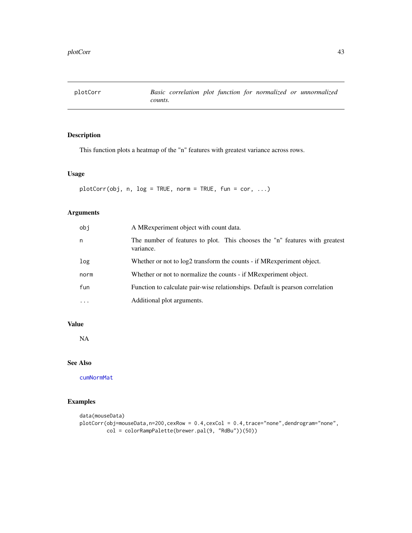<span id="page-42-1"></span><span id="page-42-0"></span>

This function plots a heatmap of the "n" features with greatest variance across rows.

# Usage

```
plotCorr(obj, n, log = TRUE, norm = TRUE, fun = cor, ...)
```
# Arguments

| obj      | A MRexperiment object with count data.                                                   |
|----------|------------------------------------------------------------------------------------------|
| n        | The number of features to plot. This chooses the "n" features with greatest<br>variance. |
| log      | Whether or not to log2 transform the counts - if MRexperiment object.                    |
| norm     | Whether or not to normalize the counts - if MRexperiment object.                         |
| fun      | Function to calculate pair-wise relationships. Default is pearson correlation            |
| $\cdots$ | Additional plot arguments.                                                               |

# Value

NA

# See Also

[cumNormMat](#page-8-1)

```
data(mouseData)
plotCorr(obj=mouseData,n=200,cexRow = 0.4,cexCol = 0.4,trace="none",dendrogram="none",
        col = colorRampPalette(brewer.pal(9, "RdBu"))(50))
```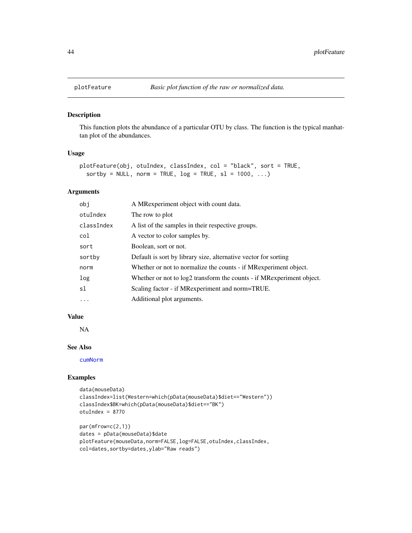<span id="page-43-0"></span>

This function plots the abundance of a particular OTU by class. The function is the typical manhattan plot of the abundances.

#### Usage

```
plotFeature(obj, otuIndex, classIndex, col = "black", sort = TRUE,
  sortby = NULL, norm = TRUE, log = TRUE, sl = 1000, ...)
```
#### Arguments

| obi        | A MRexperiment object with count data.                                |
|------------|-----------------------------------------------------------------------|
| otuIndex   | The row to plot                                                       |
| classIndex | A list of the samples in their respective groups.                     |
| col        | A vector to color samples by.                                         |
| sort       | Boolean, sort or not.                                                 |
| sortby     | Default is sort by library size, alternative vector for sorting       |
| norm       | Whether or not to normalize the counts - if MR experiment object.     |
| log        | Whether or not to log2 transform the counts - if MRexperiment object. |
| sl         | Scaling factor - if MRexperiment and norm=TRUE.                       |
| $\ddotsc$  | Additional plot arguments.                                            |

#### Value

NA

# See Also

[cumNorm](#page-7-1)

```
data(mouseData)
classIndex=list(Western=which(pData(mouseData)$diet=="Western"))
classIndex$BK=which(pData(mouseData)$diet=="BK")
otuIndex = 8770
```

```
par(mfrow=c(2,1))
dates = pData(mouseData)$date
plotFeature(mouseData,norm=FALSE,log=FALSE,otuIndex,classIndex,
col=dates,sortby=dates,ylab="Raw reads")
```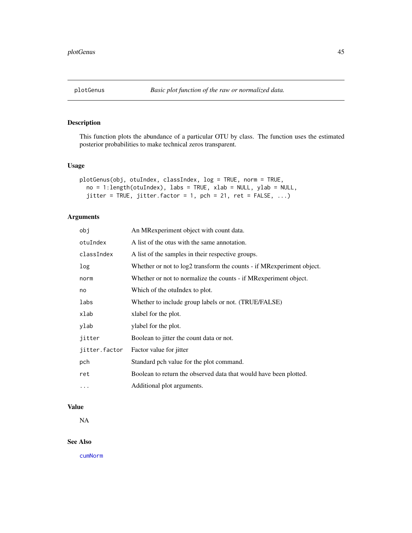<span id="page-44-1"></span><span id="page-44-0"></span>This function plots the abundance of a particular OTU by class. The function uses the estimated posterior probabilities to make technical zeros transparent.

# Usage

```
plotGenus(obj, otuIndex, classIndex, log = TRUE, norm = TRUE,
 no = 1:length(otuIndex), labs = TRUE, xlab = NULL, ylab = NULL,
  jitter = TRUE, jitter.factor = 1, pch = 21, ret = FALSE, ...)
```
# Arguments

| obj           | An MRexperiment object with count data.                               |
|---------------|-----------------------------------------------------------------------|
| otuIndex      | A list of the otus with the same annotation.                          |
| classIndex    | A list of the samples in their respective groups.                     |
| log           | Whether or not to log2 transform the counts - if MRexperiment object. |
| norm          | Whether or not to normalize the counts - if MR experiment object.     |
| no            | Which of the otuIndex to plot.                                        |
| labs          | Whether to include group labels or not. (TRUE/FALSE)                  |
| xlab          | xlabel for the plot.                                                  |
| ylab          | ylabel for the plot.                                                  |
| jitter        | Boolean to jitter the count data or not.                              |
| jitter.factor | Factor value for jitter                                               |
| pch           | Standard pch value for the plot command.                              |
| ret           | Boolean to return the observed data that would have been plotted.     |
| $\ddotsc$     | Additional plot arguments.                                            |

# Value

NA

#### See Also

[cumNorm](#page-7-1)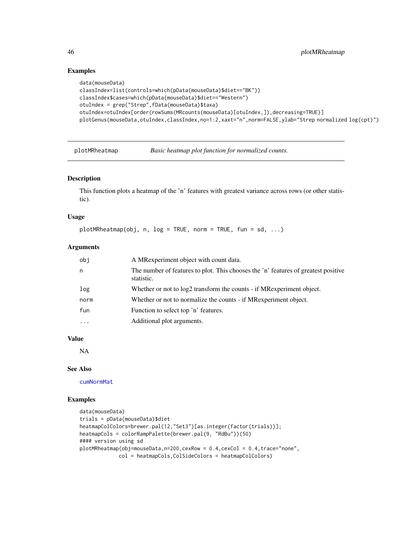# Examples

```
data(mouseData)
classIndex=list(controls=which(pData(mouseData)$diet=="BK"))
classIndex$cases=which(pData(mouseData)$diet=="Western")
otuIndex = grep("Strep",fData(mouseData)$taxa)
otuIndex=otuIndex[order(rowSums(MRcounts(mouseData)[otuIndex,]),decreasing=TRUE)]
plotGenus(mouseData,otuIndex,classIndex,no=1:2,xaxt="n",norm=FALSE,ylab="Strep normalized log(cpt)")
```
<span id="page-45-1"></span>

plotMRheatmap *Basic heatmap plot function for normalized counts.*

# Description

This function plots a heatmap of the 'n' features with greatest variance across rows (or other statistic).

#### Usage

```
plotMRheatmap(obj, n, log = TRUE, norm = TRUE, fun = sd, ...)
```
#### Arguments

| obi  | A MRexperiment object with count data.                                                           |
|------|--------------------------------------------------------------------------------------------------|
| n    | The number of features to plot. This chooses the 'n' features of greatest positive<br>statistic. |
| log  | Whether or not to log2 transform the counts - if MR experiment object.                           |
| norm | Whether or not to normalize the counts - if MR experiment object.                                |
| fun  | Function to select top 'n' features.                                                             |
| .    | Additional plot arguments.                                                                       |

# Value

NA

#### See Also

[cumNormMat](#page-8-1)

```
data(mouseData)
trials = pData(mouseData)$diet
heatmapColColors=brewer.pal(12,"Set3")[as.integer(factor(trials))];
heatmapCols = colorRampPalette(brewer.pal(9, "RdBu"))(50)
#### version using sd
plotMRheatmap(obj=mouseData,n=200,cexRow = 0.4,cexCol = 0.4,trace="none",
            col = heatmapCols,ColSideColors = heatmapColColors)
```
<span id="page-45-0"></span>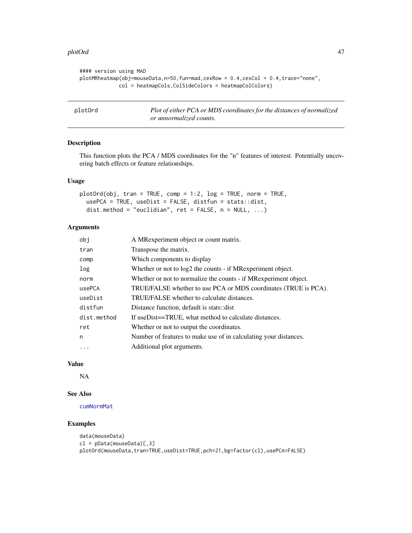#### <span id="page-46-0"></span>plotOrd 47

```
#### version using MAD
plotMRheatmap(obj=mouseData,n=50,fun=mad,cexRow = 0.4,cexCol = 0.4,trace="none",
            col = heatmapCols,ColSideColors = heatmapColColors)
```
<span id="page-46-1"></span>plotOrd *Plot of either PCA or MDS coordinates for the distances of normalized or unnormalized counts.*

#### Description

This function plots the PCA / MDS coordinates for the "n" features of interest. Potentially uncovering batch effects or feature relationships.

#### Usage

```
plotOrd(obj, tran = TRUE, comp = 1:2, log = TRUE, norm = TRUE,
 usePCA = TRUE, useDist = FALSE, distfun = stats::dist,
  dist.method = "euclidian", ret = FALSE, n = NULL, ...)
```
#### Arguments

| obi         | A MRexperiment object or count matrix.                            |
|-------------|-------------------------------------------------------------------|
| tran        | Transpose the matrix.                                             |
| comp        | Which components to display                                       |
| log         | Whether or not to $log2$ the counts - if MR experiment object.    |
| norm        | Whether or not to normalize the counts - if MR experiment object. |
| usePCA      | TRUE/FALSE whether to use PCA or MDS coordinates (TRUE is PCA).   |
| useDist     | TRUE/FALSE whether to calculate distances.                        |
| distfun     | Distance function, default is stats:: dist                        |
| dist.method | If useDist==TRUE, what method to calculate distances.             |
| ret         | Whether or not to output the coordinates.                         |
| n           | Number of features to make use of in calculating your distances.  |
| $\cdot$     | Additional plot arguments.                                        |
|             |                                                                   |

#### Value

NA

#### See Also

#### [cumNormMat](#page-8-1)

```
data(mouseData)
cl = pData(mouseData)[,3]
plotOrd(mouseData,tran=TRUE,useDist=TRUE,pch=21,bg=factor(cl),usePCA=FALSE)
```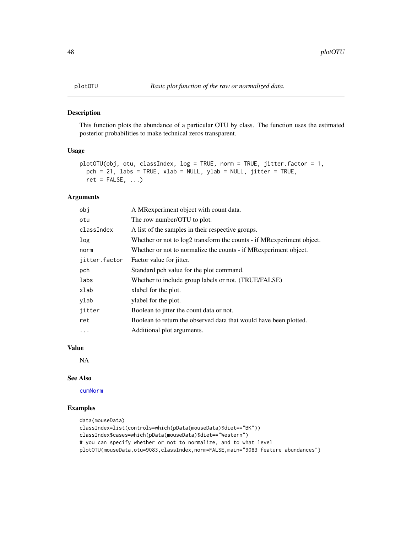<span id="page-47-1"></span><span id="page-47-0"></span>This function plots the abundance of a particular OTU by class. The function uses the estimated posterior probabilities to make technical zeros transparent.

#### Usage

```
plotOTU(obj, otu, classIndex, log = TRUE, norm = TRUE, jitter.factor = 1,
 pch = 21, labs = TRUE, xlab = NULL, ylab = NULL, jitter = TRUE,
 ret = FALSE, ...)
```
# Arguments

| obj           | A MRexperiment object with count data.                                 |  |
|---------------|------------------------------------------------------------------------|--|
| otu           | The row number/OTU to plot.                                            |  |
| classIndex    | A list of the samples in their respective groups.                      |  |
| log           | Whether or not to log2 transform the counts - if MR experiment object. |  |
| norm          | Whether or not to normalize the counts - if MR experiment object.      |  |
| jitter.factor | Factor value for <i>jitter</i> .                                       |  |
| pch           | Standard pch value for the plot command.                               |  |
| labs          | Whether to include group labels or not. (TRUE/FALSE)                   |  |
| xlab          | xlabel for the plot.                                                   |  |
| ylab          | ylabel for the plot.                                                   |  |
| jitter        | Boolean to jitter the count data or not.                               |  |
| ret           | Boolean to return the observed data that would have been plotted.      |  |
| $\cdots$      | Additional plot arguments.                                             |  |

#### Value

NA

#### See Also

[cumNorm](#page-7-1)

```
data(mouseData)
classIndex=list(controls=which(pData(mouseData)$diet=="BK"))
classIndex$cases=which(pData(mouseData)$diet=="Western")
# you can specify whether or not to normalize, and to what level
plotOTU(mouseData,otu=9083,classIndex,norm=FALSE,main="9083 feature abundances")
```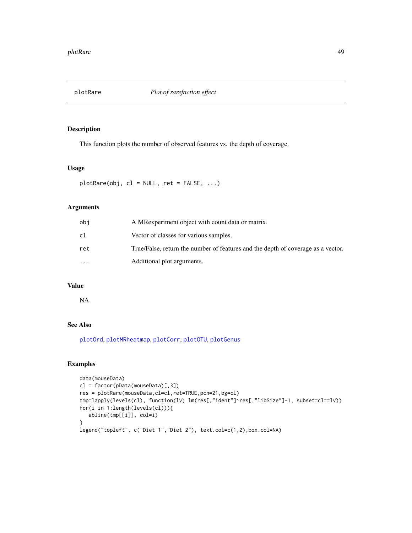<span id="page-48-0"></span>

This function plots the number of observed features vs. the depth of coverage.

#### Usage

 $plotRange(obj, cl = NULL, ret = FALSE, ...)$ 

# Arguments

| obi      | A MR experiment object with count data or matrix.                                |
|----------|----------------------------------------------------------------------------------|
| cl       | Vector of classes for various samples.                                           |
| ret      | True/False, return the number of features and the depth of coverage as a vector. |
| $\cdots$ | Additional plot arguments.                                                       |

# Value

NA

# See Also

[plotOrd](#page-46-1), [plotMRheatmap](#page-45-1), [plotCorr](#page-42-1), [plotOTU](#page-47-1), [plotGenus](#page-44-1)

```
data(mouseData)
cl = factor(pData(mouseData)[,3])
res = plotRare(mouseData,cl=cl,ret=TRUE,pch=21,bg=cl)
tmp=lapply(levels(cl), function(lv) lm(res[,"ident"]~res[,"libSize"]-1, subset=cl==lv))
for(i in 1:length(levels(cl))){
   abline(tmp[[i]], col=i)
}
legend("topleft", c("Diet 1","Diet 2"), text.col=c(1,2),box.col=NA)
```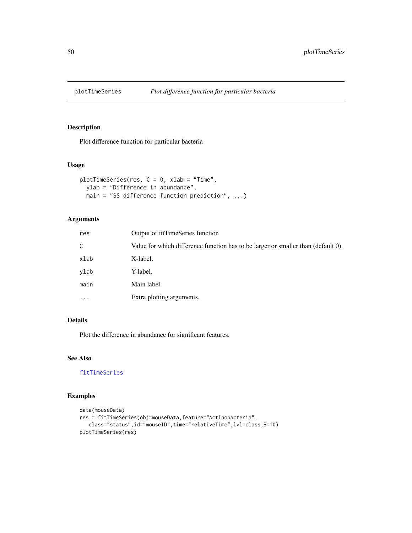<span id="page-49-1"></span><span id="page-49-0"></span>

Plot difference function for particular bacteria

#### Usage

```
plotTimeSeries(res, C = 0, xlab = "Time",
 ylab = "Difference in abundance",
 main = "SS difference function prediction", ...)
```
# Arguments

| res       | Output of fitTimeSeries function                                                  |
|-----------|-----------------------------------------------------------------------------------|
| C         | Value for which difference function has to be larger or smaller than (default 0). |
| xlab      | X-label.                                                                          |
| ylab      | Y-label.                                                                          |
| main      | Main label.                                                                       |
| $\ddotsc$ | Extra plotting arguments.                                                         |
|           |                                                                                   |

# Details

Plot the difference in abundance for significant features.

# See Also

[fitTimeSeries](#page-20-1)

```
data(mouseData)
res = fitTimeSeries(obj=mouseData,feature="Actinobacteria",
   class="status",id="mouseID",time="relativeTime",lvl=class,B=10)
plotTimeSeries(res)
```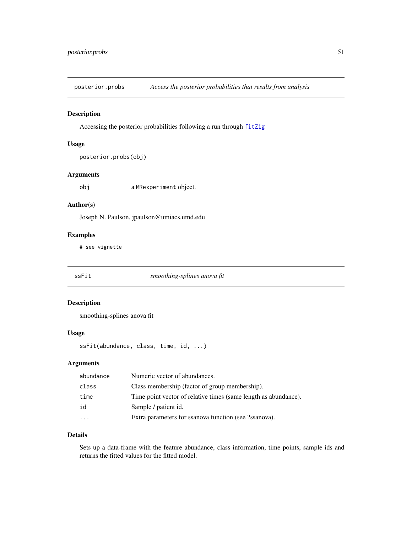<span id="page-50-2"></span><span id="page-50-0"></span>posterior.probs *Access the posterior probabilities that results from analysis*

#### Description

Accessing the posterior probabilities following a run through [fitZig](#page-21-1)

# Usage

```
posterior.probs(obj)
```
# Arguments

obj a MRexperiment object.

# Author(s)

Joseph N. Paulson, jpaulson@umiacs.umd.edu

# Examples

# see vignette

<span id="page-50-1"></span>

# ssFit *smoothing-splines anova fit*

# Description

smoothing-splines anova fit

# Usage

ssFit(abundance, class, time, id, ...)

# Arguments

| abundance | Numeric vector of abundances.                                   |
|-----------|-----------------------------------------------------------------|
| class     | Class membership (factor of group membership).                  |
| time      | Time point vector of relative times (same length as abundance). |
| id        | Sample / patient id.                                            |
|           | Extra parameters for ssanova function (see ?ssanova).           |
|           |                                                                 |

# Details

Sets up a data-frame with the feature abundance, class information, time points, sample ids and returns the fitted values for the fitted model.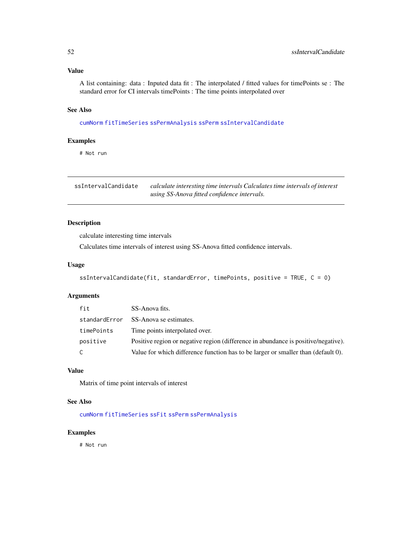# <span id="page-51-0"></span>Value

A list containing: data : Inputed data fit : The interpolated / fitted values for timePoints se : The standard error for CI intervals timePoints : The time points interpolated over

#### See Also

[cumNorm](#page-7-1) [fitTimeSeries](#page-20-1) [ssPermAnalysis](#page-52-2) [ssPerm](#page-52-1) [ssIntervalCandidate](#page-51-1)

# Examples

# Not run

<span id="page-51-1"></span>

| ssIntervalCandidate | calculate interesting time intervals Calculates time intervals of interest |
|---------------------|----------------------------------------------------------------------------|
|                     | using SS-Anova fitted confidence intervals.                                |

# Description

calculate interesting time intervals

Calculates time intervals of interest using SS-Anova fitted confidence intervals.

#### Usage

```
ssIntervalCandidate(fit, standardError, timePoints, positive = TRUE, C = 0)
```
# Arguments

| fit           | SS-Anova fits.                                                                     |
|---------------|------------------------------------------------------------------------------------|
| standardError | SS-Anova se estimates.                                                             |
| timePoints    | Time points interpolated over.                                                     |
| positive      | Positive region or negative region (difference in abundance is positive/negative). |
| C             | Value for which difference function has to be larger or smaller than (default 0).  |

# Value

Matrix of time point intervals of interest

# See Also

[cumNorm](#page-7-1) [fitTimeSeries](#page-20-1) [ssFit](#page-50-1) [ssPerm](#page-52-1) [ssPermAnalysis](#page-52-2)

#### Examples

# Not run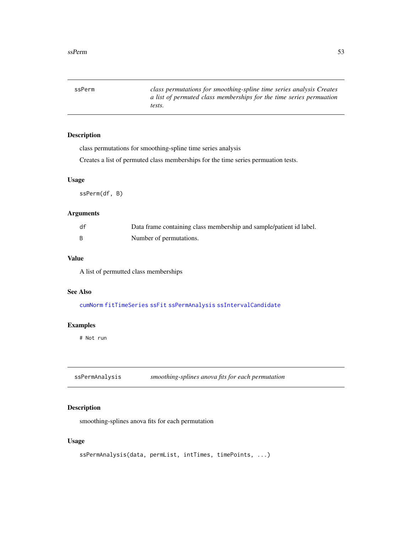<span id="page-52-1"></span><span id="page-52-0"></span>ssPerm *class permutations for smoothing-spline time series analysis Creates a list of permuted class memberships for the time series permuation tests.*

# Description

class permutations for smoothing-spline time series analysis

Creates a list of permuted class memberships for the time series permuation tests.

#### Usage

ssPerm(df, B)

#### Arguments

| df | Data frame containing class membership and sample/patient id label. |
|----|---------------------------------------------------------------------|
|    | Number of permutations.                                             |

# Value

A list of permutted class memberships

#### See Also

[cumNorm](#page-7-1) [fitTimeSeries](#page-20-1) [ssFit](#page-50-1) [ssPermAnalysis](#page-52-2) [ssIntervalCandidate](#page-51-1)

#### Examples

# Not run

<span id="page-52-2"></span>ssPermAnalysis *smoothing-splines anova fits for each permutation*

# Description

smoothing-splines anova fits for each permutation

# Usage

```
ssPermAnalysis(data, permList, intTimes, timePoints, ...)
```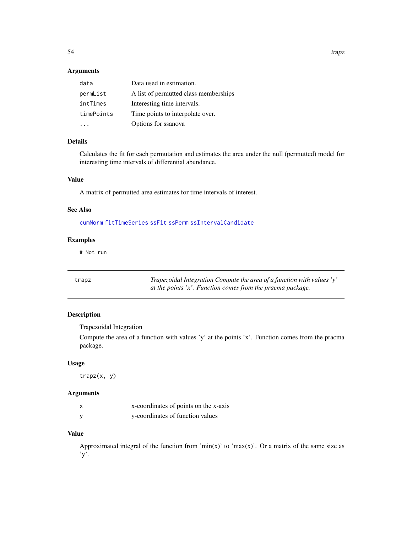<span id="page-53-0"></span>54 trapz

# Arguments

| data       | Data used in estimation.              |
|------------|---------------------------------------|
| permList   | A list of permutted class memberships |
| intTimes   | Interesting time intervals.           |
| timePoints | Time points to interpolate over.      |
|            | Options for ssanova                   |

# Details

Calculates the fit for each permutation and estimates the area under the null (permutted) model for interesting time intervals of differential abundance.

#### Value

A matrix of permutted area estimates for time intervals of interest.

#### See Also

[cumNorm](#page-7-1) [fitTimeSeries](#page-20-1) [ssFit](#page-50-1) [ssPerm](#page-52-1) [ssIntervalCandidate](#page-51-1)

# Examples

# Not run

| trapz | Trapezoidal Integration Compute the area of a function with values 'y' |
|-------|------------------------------------------------------------------------|
|       | at the points 'x'. Function comes from the pracma package.             |

# Description

Trapezoidal Integration

Compute the area of a function with values 'y' at the points 'x'. Function comes from the pracma package.

# Usage

trapz(x, y)

# Arguments

| X | x-coordinates of points on the x-axis |
|---|---------------------------------------|
| y | y-coordinates of function values      |

# Value

Approximated integral of the function from ' $min(x)$ ' to ' $max(x)$ '. Or a matrix of the same size as 'y'.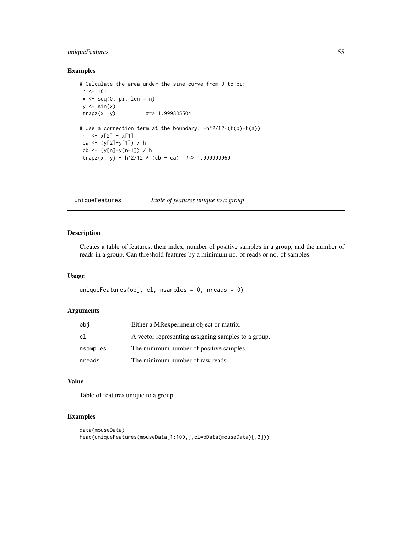# <span id="page-54-0"></span>uniqueFeatures 55

# Examples

```
# Calculate the area under the sine curve from 0 to pi:
n < -101x \leq -\text{seq}(0, \text{pi}, \text{len} = \text{n})y \leftarrow \sin(x)trapz(x, y) #=> 1.999835504
# Use a correction term at the boundary: -h^2/12*(f(b)-f(a))
h \leq x[2] - x[1]ca <- (y[2]-y[1]) / h
cb <- (y[n]-y[n-1]) / h
trapz(x, y) - h^2/12 \times (cb - ca) #=> 1.999999969
```
# uniqueFeatures *Table of features unique to a group*

# Description

Creates a table of features, their index, number of positive samples in a group, and the number of reads in a group. Can threshold features by a minimum no. of reads or no. of samples.

# Usage

```
uniqueFeatures(obj, cl, nsamples = 0, nreads = 0)
```
# Arguments

| obi      | Either a MRexperiment object or matrix.             |
|----------|-----------------------------------------------------|
| cl       | A vector representing assigning samples to a group. |
| nsamples | The minimum number of positive samples.             |
| nreads   | The minimum number of raw reads.                    |

#### Value

Table of features unique to a group

```
data(mouseData)
head(uniqueFeatures(mouseData[1:100,],cl=pData(mouseData)[,3]))
```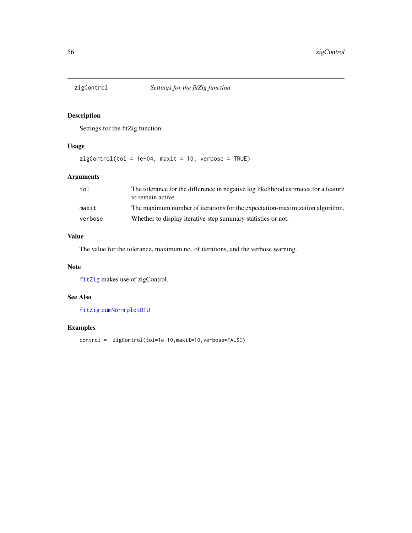<span id="page-55-1"></span><span id="page-55-0"></span>

Settings for the fitZig function

# Usage

 $zigControl(tol = 1e-04, maxit = 10, verbose = TRUE)$ 

# Arguments

| tol     | The tolerance for the difference in negative log likelihood estimates for a feature<br>to remain active. |
|---------|----------------------------------------------------------------------------------------------------------|
| maxit   | The maximum number of iterations for the expectation-maximization algorithm.                             |
| verbose | Whether to display iterative step summary statistics or not.                                             |

# Value

The value for the tolerance, maximum no. of iterations, and the verbose warning.

# Note

[fitZig](#page-21-1) makes use of zigControl.

# See Also

[fitZig](#page-21-1) [cumNorm](#page-7-1) [plotOTU](#page-47-1)

# Examples

control = zigControl(tol=1e-10, maxit=10, verbose=FALSE)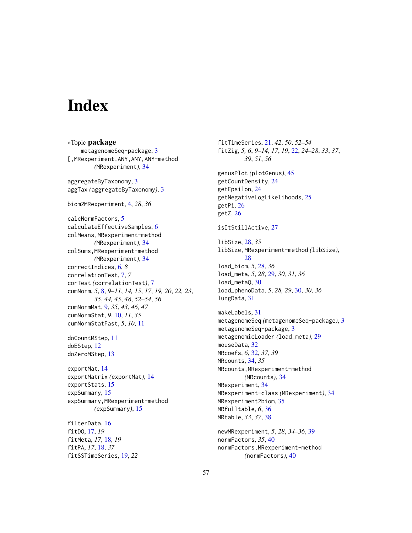# <span id="page-56-0"></span>**Index**

∗Topic package metagenomeSeq-package, [3](#page-2-0) [,MRexperiment,ANY,ANY,ANY-method *(*MRexperiment*)*, [34](#page-33-0) aggregateByTaxonomy, [3](#page-2-0) aggTax *(*aggregateByTaxonomy*)*, [3](#page-2-0) biom2MRexperiment, [4,](#page-3-0) *28*, *36* calcNormFactors, [5](#page-4-0) calculateEffectiveSamples, [6](#page-5-0) colMeans,MRexperiment-method *(*MRexperiment*)*, [34](#page-33-0) colSums,MRexperiment-method *(*MRexperiment*)*, [34](#page-33-0) correctIndices, [6,](#page-5-0) *8* correlationTest, [7,](#page-6-0) *7* corTest *(*correlationTest*)*, [7](#page-6-0) cumNorm, *5*, [8,](#page-7-0) *9–11*, *14, 15*, *17*, *19, 20*, *22, 23*, *35*, *44, 45*, *48*, *52–54*, *56* cumNormMat, [9,](#page-8-0) *35*, *43*, *46, 47* cumNormStat, *9*, [10,](#page-9-0) *11*, *35* cumNormStatFast, *5*, *10*, [11](#page-10-0) doCountMStep, [11](#page-10-0) doEStep, [12](#page-11-0) doZeroMStep, [13](#page-12-0) exportMat, [14](#page-13-0) exportMatrix *(*exportMat*)*, [14](#page-13-0) exportStats, [15](#page-14-0) expSummary, [15](#page-14-0) expSummary,MRexperiment-method *(*expSummary*)*, [15](#page-14-0) filterData, [16](#page-15-0) fitDO, [17,](#page-16-0) *19* fitMeta, *17*, [18,](#page-17-0) *19* fitPA, *17*, [18,](#page-17-0) *37*

fitSSTimeSeries, [19,](#page-18-0) *22*

fitTimeSeries, [21,](#page-20-0) *42*, *50*, *52–54* fitZig, *5, 6*, *9–14*, *17*, *19*, [22,](#page-21-0) *24–28*, *33*, *37*, *39*, *51*, *56* genusPlot *(*plotGenus*)*, [45](#page-44-0) getCountDensity, [24](#page-23-0) getEpsilon, [24](#page-23-0) getNegativeLogLikelihoods, [25](#page-24-0) getPi, [26](#page-25-0) getZ, [26](#page-25-0) isItStillActive, [27](#page-26-0) libSize, [28,](#page-27-0) *35* libSize,MRexperiment-method *(*libSize*)*, [28](#page-27-0) load\_biom, *5*, [28,](#page-27-0) *36* load\_meta, *5*, *28*, [29,](#page-28-0) *30, 31*, *36* load\_metaQ, [30](#page-29-0) load\_phenoData, *5*, *28, 29*, [30,](#page-29-0) *30*, *36* lungData, [31](#page-30-0) makeLabels, [31](#page-30-0) metagenomeSeq *(*metagenomeSeq-package*)*, [3](#page-2-0) metagenomeSeq-package, [3](#page-2-0) metagenomicLoader *(*load\_meta*)*, [29](#page-28-0) mouseData, [32](#page-31-0) MRcoefs, *6*, [32,](#page-31-0) *37*, *39* MRcounts, [34,](#page-33-0) *35* MRcounts,MRexperiment-method *(*MRcounts*)*, [34](#page-33-0) MRexperiment, [34](#page-33-0) MRexperiment-class *(*MRexperiment*)*, [34](#page-33-0) MRexperiment2biom, [35](#page-34-0) MRfulltable, *6*, [36](#page-35-0) MRtable, *33*, *37*, [38](#page-37-0) newMRexperiment, *5*, *28*, *34–36*, [39](#page-38-0) normFactors, *35*, [40](#page-39-0) normFactors,MRexperiment-method *(*normFactors*)*, [40](#page-39-0)